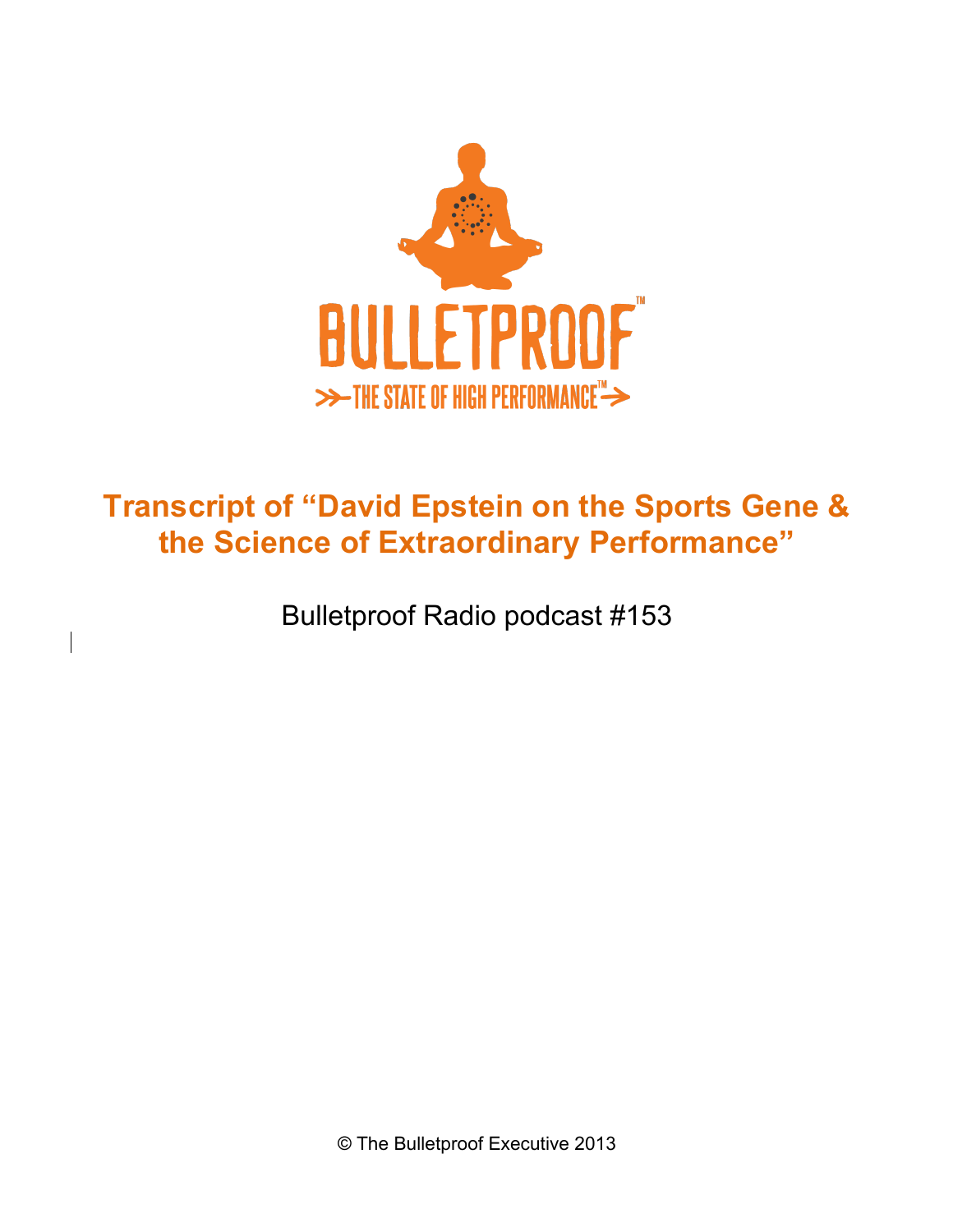

# **Transcript of "David Epstein on the Sports Gene & the Science of Extraordinary Performance"**

Bulletproof Radio podcast #153

© The Bulletproof Executive 2013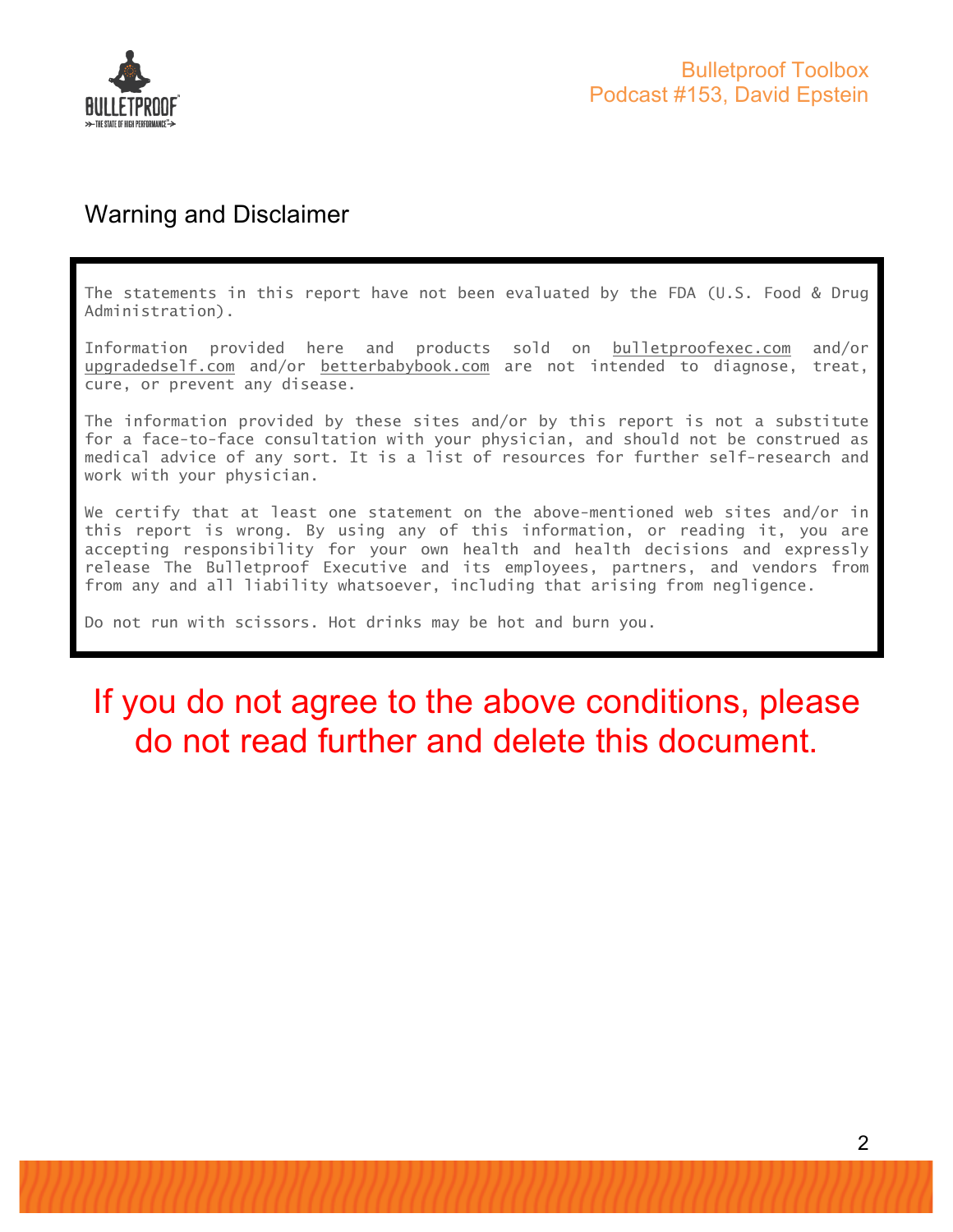

#### Warning and Disclaimer

The statements in this report have not been evaluated by the FDA (U.S. Food & Drug Administration).

Information provided here and products sold on bulletproofexec.com and/or upgradedself.com and/or betterbabybook.com are not intended to diagnose, treat, cure, or prevent any disease.

The information provided by these sites and/or by this report is not a substitute for a face-to-face consultation with your physician, and should not be construed as medical advice of any sort. It is a list of resources for further self-research and work with your physician.

We certify that at least one statement on the above-mentioned web sites and/or in this report is wrong. By using any of this information, or reading it, you are accepting responsibility for your own health and health decisions and expressly release The Bulletproof Executive and its employees, partners, and vendors from from any and all liability whatsoever, including that arising from negligence.

Do not run with scissors. Hot drinks may be hot and burn you.

# If you do not agree to the above conditions, please do not read further and delete this document.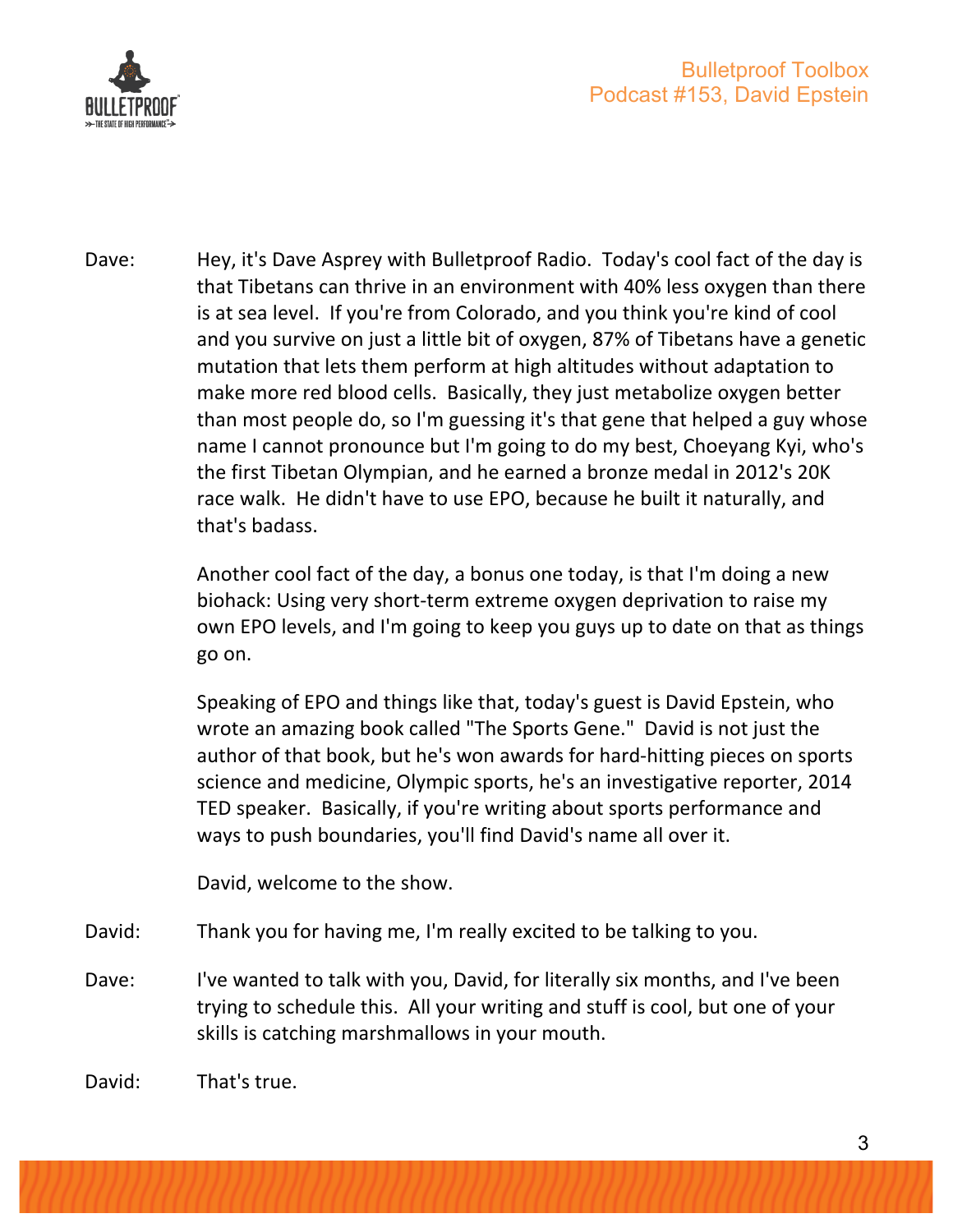

Dave: Hey, it's Dave Asprey with Bulletproof Radio. Today's cool fact of the day is that Tibetans can thrive in an environment with 40% less oxygen than there is at sea level. If you're from Colorado, and you think you're kind of cool and you survive on just a little bit of oxygen, 87% of Tibetans have a genetic mutation that lets them perform at high altitudes without adaptation to make more red blood cells. Basically, they just metabolize oxygen better than most people do, so I'm guessing it's that gene that helped a guy whose name I cannot pronounce but I'm going to do my best, Choeyang Kyi, who's the first Tibetan Olympian, and he earned a bronze medal in 2012's 20K race walk. He didn't have to use EPO, because he built it naturally, and that's badass.

> Another cool fact of the day, a bonus one today, is that I'm doing a new biohack: Using very short-term extreme oxygen deprivation to raise my own EPO levels, and I'm going to keep you guys up to date on that as things go on.

Speaking of EPO and things like that, today's guest is David Epstein, who wrote an amazing book called "The Sports Gene." David is not just the author of that book, but he's won awards for hard-hitting pieces on sports science and medicine, Olympic sports, he's an investigative reporter, 2014 TED speaker. Basically, if you're writing about sports performance and ways to push boundaries, you'll find David's name all over it.

David, welcome to the show.

- David: Thank you for having me, I'm really excited to be talking to you.
- Dave: I've wanted to talk with you, David, for literally six months, and I've been trying to schedule this. All your writing and stuff is cool, but one of your skills is catching marshmallows in your mouth.

David: That's true.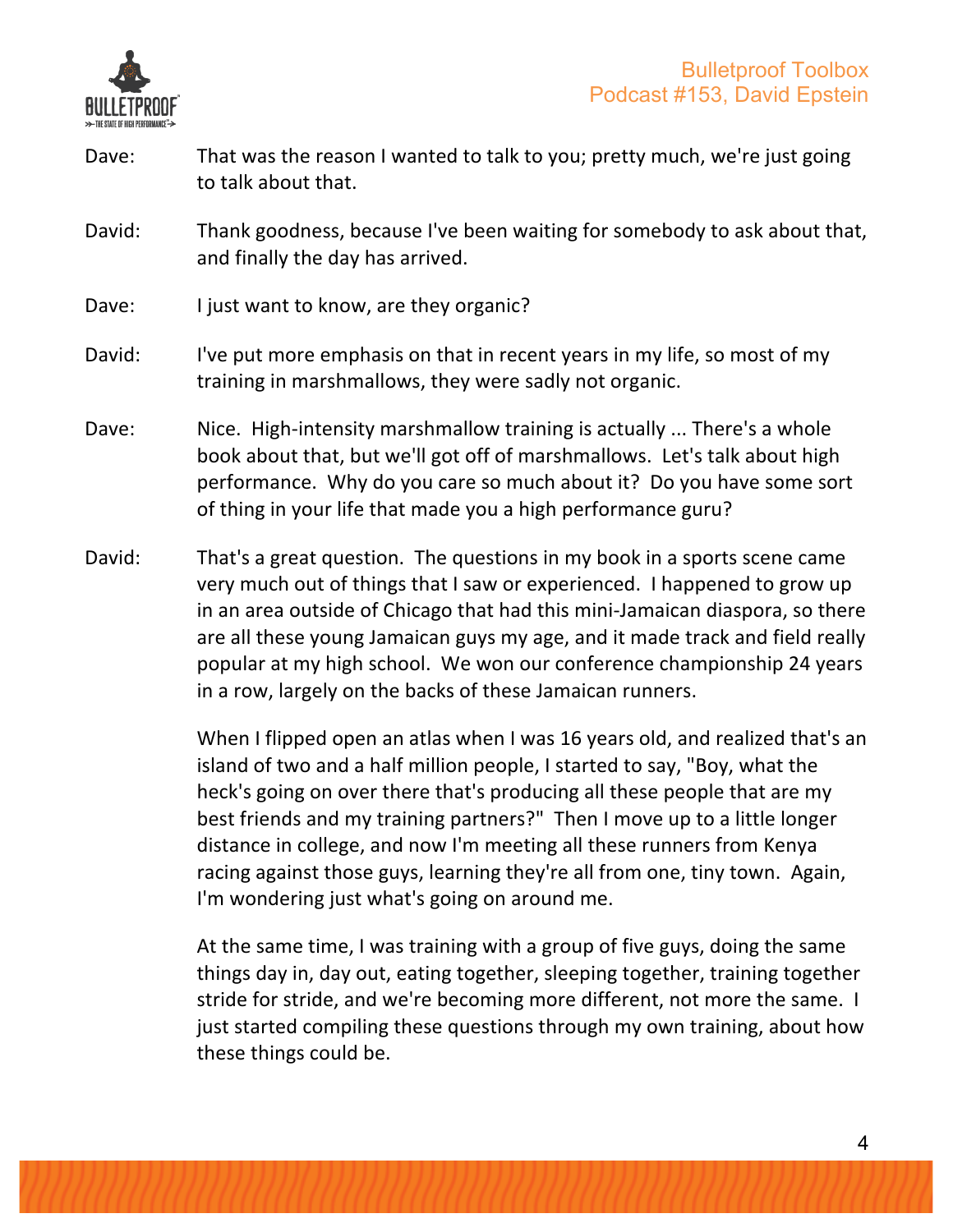

- Dave: That was the reason I wanted to talk to you; pretty much, we're just going to talk about that.
- David: Thank goodness, because I've been waiting for somebody to ask about that, and finally the day has arrived.
- Dave: I just want to know, are they organic?
- David: I've put more emphasis on that in recent years in my life, so most of my training in marshmallows, they were sadly not organic.
- Dave: Nice. High-intensity marshmallow training is actually ... There's a whole book about that, but we'll got off of marshmallows. Let's talk about high performance. Why do you care so much about it? Do you have some sort of thing in your life that made you a high performance guru?
- David: That's a great question. The questions in my book in a sports scene came very much out of things that I saw or experienced. I happened to grow up in an area outside of Chicago that had this mini-Jamaican diaspora, so there are all these young Jamaican guys my age, and it made track and field really popular at my high school. We won our conference championship 24 years in a row, largely on the backs of these Jamaican runners.

When I flipped open an atlas when I was 16 years old, and realized that's an island of two and a half million people, I started to say, "Boy, what the heck's going on over there that's producing all these people that are my best friends and my training partners?" Then I move up to a little longer distance in college, and now I'm meeting all these runners from Kenya racing against those guys, learning they're all from one, tiny town. Again, I'm wondering just what's going on around me.

At the same time, I was training with a group of five guys, doing the same things day in, day out, eating together, sleeping together, training together stride for stride, and we're becoming more different, not more the same. I just started compiling these questions through my own training, about how these things could be.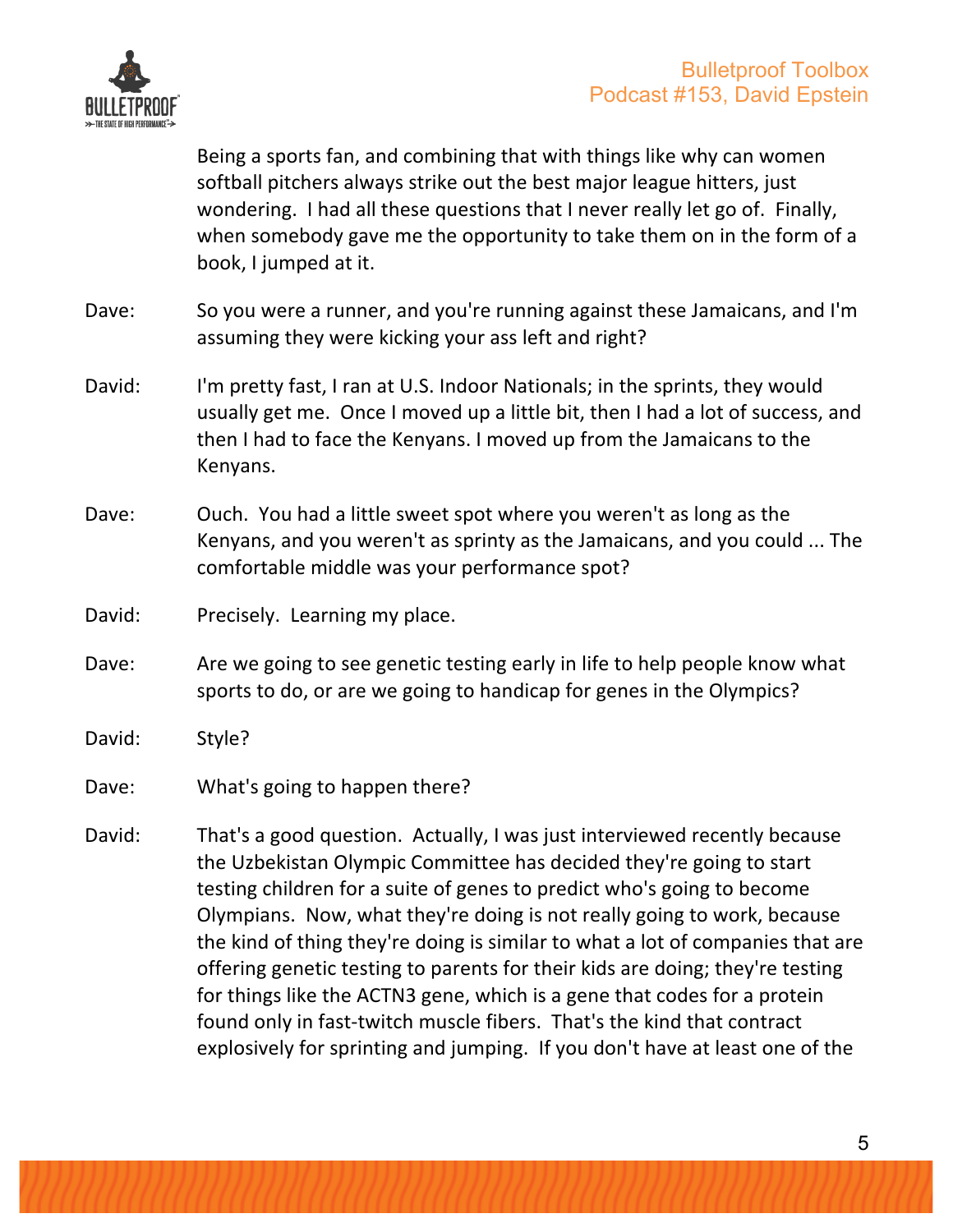

Being a sports fan, and combining that with things like why can women softball pitchers always strike out the best major league hitters, just wondering. I had all these questions that I never really let go of. Finally, when somebody gave me the opportunity to take them on in the form of a book, I jumped at it.

- Dave: So you were a runner, and you're running against these Jamaicans, and I'm assuming they were kicking your ass left and right?
- David: I'm pretty fast, I ran at U.S. Indoor Nationals; in the sprints, they would usually get me. Once I moved up a little bit, then I had a lot of success, and then I had to face the Kenyans. I moved up from the Jamaicans to the Kenyans.
- Dave: Ouch. You had a little sweet spot where you weren't as long as the Kenyans, and you weren't as sprinty as the Jamaicans, and you could ... The comfortable middle was your performance spot?
- David: Precisely. Learning my place.
- Dave: Are we going to see genetic testing early in life to help people know what sports to do, or are we going to handicap for genes in the Olympics?
- David: Style?
- Dave: What's going to happen there?
- David: That's a good question. Actually, I was just interviewed recently because the Uzbekistan Olympic Committee has decided they're going to start testing children for a suite of genes to predict who's going to become Olympians. Now, what they're doing is not really going to work, because the kind of thing they're doing is similar to what a lot of companies that are offering genetic testing to parents for their kids are doing; they're testing for things like the ACTN3 gene, which is a gene that codes for a protein found only in fast-twitch muscle fibers. That's the kind that contract explosively for sprinting and jumping. If you don't have at least one of the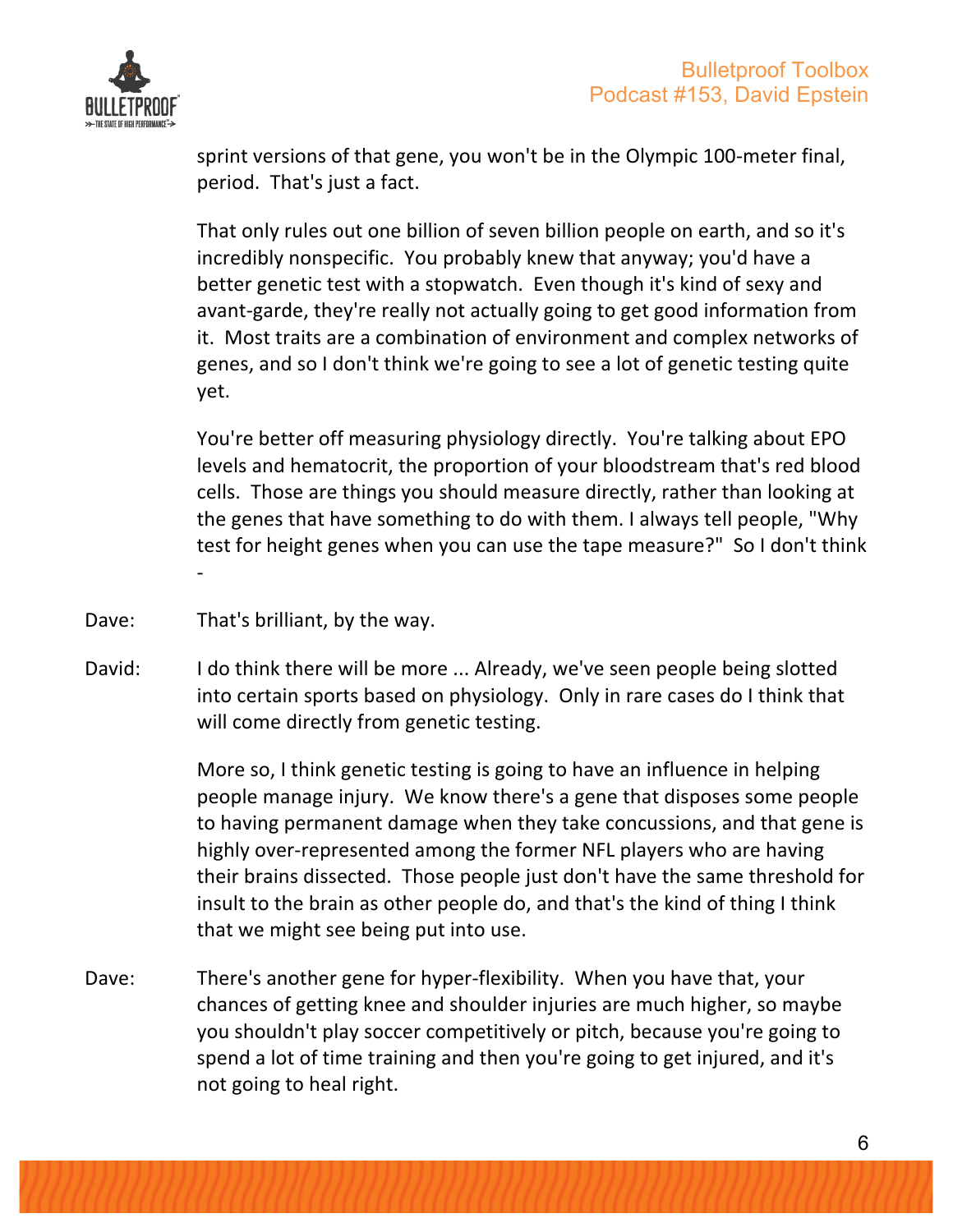

sprint versions of that gene, you won't be in the Olympic 100-meter final, period. That's just a fact.

That only rules out one billion of seven billion people on earth, and so it's incredibly nonspecific. You probably knew that anyway; you'd have a better genetic test with a stopwatch. Even though it's kind of sexy and avant-garde, they're really not actually going to get good information from it. Most traits are a combination of environment and complex networks of genes, and so I don't think we're going to see a lot of genetic testing quite yet.

You're better off measuring physiology directly. You're talking about EPO levels and hematocrit, the proportion of your bloodstream that's red blood cells. Those are things you should measure directly, rather than looking at the genes that have something to do with them. I always tell people, "Why test for height genes when you can use the tape measure?" So I don't think -

- Dave: That's brilliant, by the way.
- David: I do think there will be more ... Already, we've seen people being slotted into certain sports based on physiology. Only in rare cases do I think that will come directly from genetic testing.

More so, I think genetic testing is going to have an influence in helping people manage injury. We know there's a gene that disposes some people to having permanent damage when they take concussions, and that gene is highly over-represented among the former NFL players who are having their brains dissected. Those people just don't have the same threshold for insult to the brain as other people do, and that's the kind of thing I think that we might see being put into use.

Dave: There's another gene for hyper-flexibility. When you have that, your chances of getting knee and shoulder injuries are much higher, so maybe you shouldn't play soccer competitively or pitch, because you're going to spend a lot of time training and then you're going to get injured, and it's not going to heal right.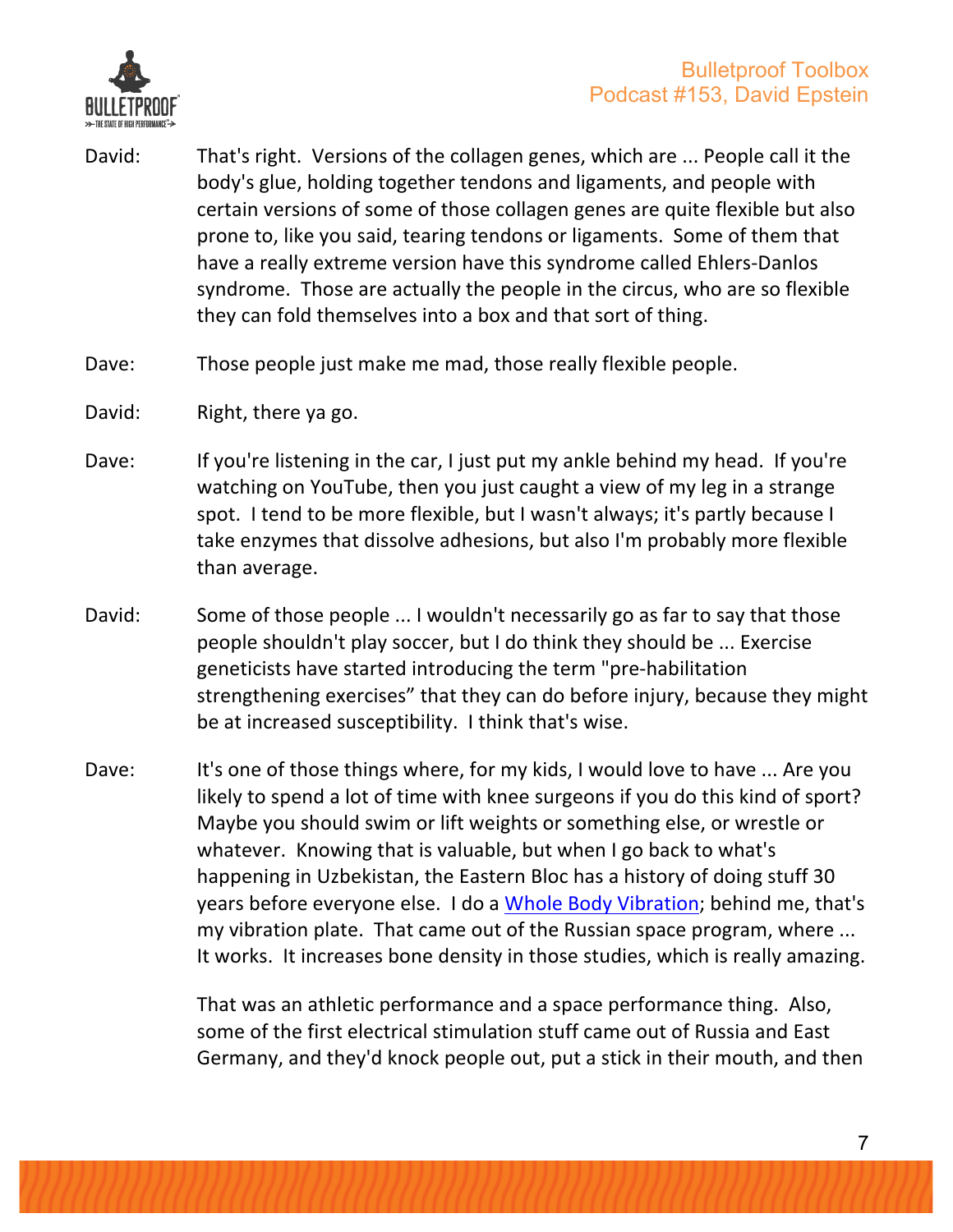

- David: That's right. Versions of the collagen genes, which are ... People call it the body's glue, holding together tendons and ligaments, and people with certain versions of some of those collagen genes are quite flexible but also prone to, like you said, tearing tendons or ligaments. Some of them that have a really extreme version have this syndrome called Ehlers-Danlos syndrome. Those are actually the people in the circus, who are so flexible they can fold themselves into a box and that sort of thing.
- Dave: Those people just make me mad, those really flexible people.
- David: Right, there ya go.
- Dave: If you're listening in the car, I just put my ankle behind my head. If you're watching on YouTube, then you just caught a view of my leg in a strange spot. I tend to be more flexible, but I wasn't always; it's partly because I take enzymes that dissolve adhesions, but also I'm probably more flexible than average.
- David: Some of those people ... I wouldn't necessarily go as far to say that those people shouldn't play soccer, but I do think they should be ... Exercise geneticists have started introducing the term "pre-habilitation strengthening exercises" that they can do before injury, because they might be at increased susceptibility. I think that's wise.
- Dave: It's one of those things where, for my kids, I would love to have ... Are you likely to spend a lot of time with knee surgeons if you do this kind of sport? Maybe you should swim or lift weights or something else, or wrestle or whatever. Knowing that is valuable, but when I go back to what's happening in Uzbekistan, the Eastern Bloc has a history of doing stuff 30 years before everyone else. I do a Whole Body Vibration; behind me, that's my vibration plate. That came out of the Russian space program, where ... It works. It increases bone density in those studies, which is really amazing.

That was an athletic performance and a space performance thing. Also, some of the first electrical stimulation stuff came out of Russia and East Germany, and they'd knock people out, put a stick in their mouth, and then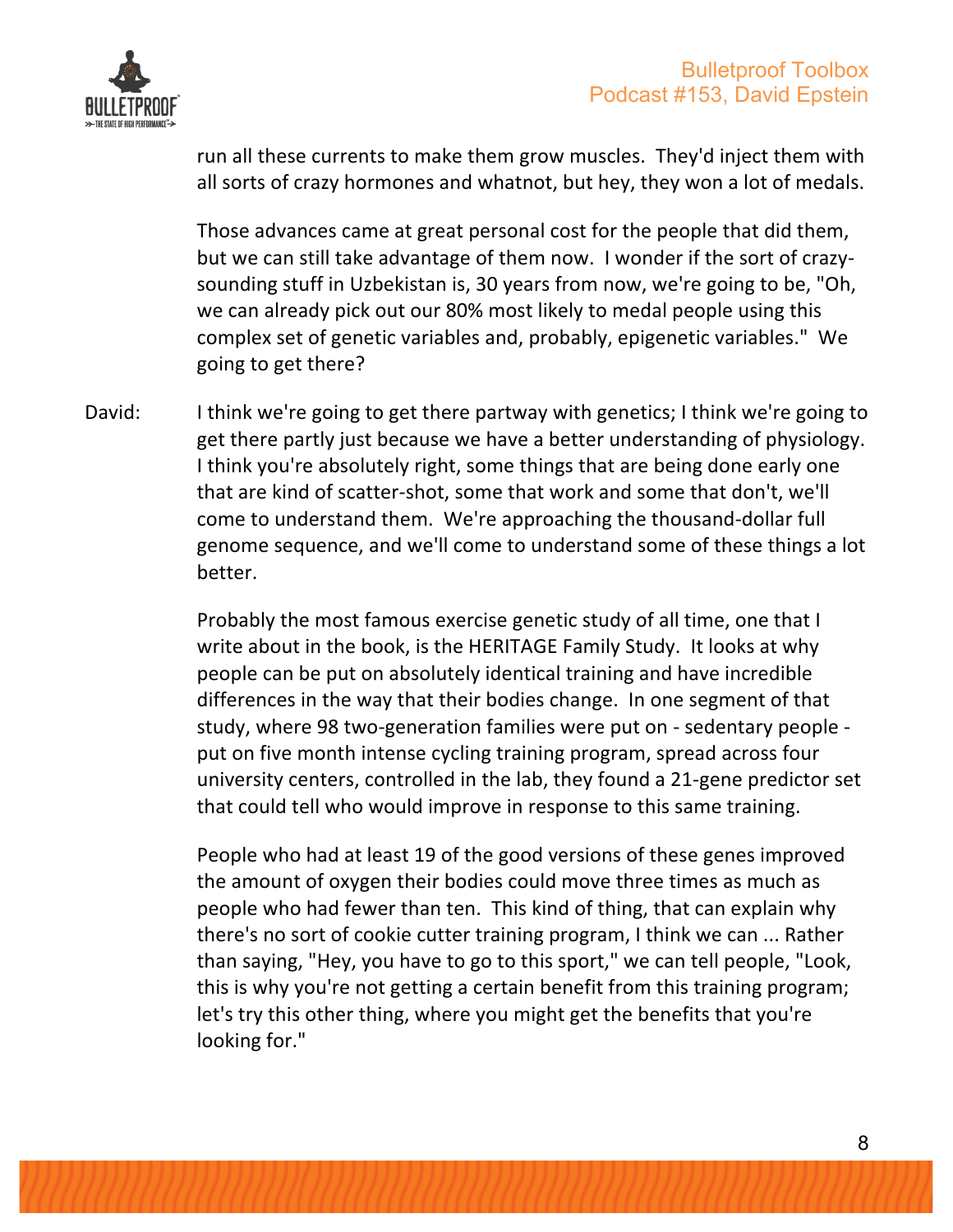

run all these currents to make them grow muscles. They'd inject them with all sorts of crazy hormones and whatnot, but hey, they won a lot of medals.

Those advances came at great personal cost for the people that did them, but we can still take advantage of them now. I wonder if the sort of crazysounding stuff in Uzbekistan is, 30 years from now, we're going to be, "Oh, we can already pick out our 80% most likely to medal people using this complex set of genetic variables and, probably, epigenetic variables." We going to get there?

David: I think we're going to get there partway with genetics; I think we're going to get there partly just because we have a better understanding of physiology. I think you're absolutely right, some things that are being done early one that are kind of scatter-shot, some that work and some that don't, we'll come to understand them. We're approaching the thousand-dollar full genome sequence, and we'll come to understand some of these things a lot better.

> Probably the most famous exercise genetic study of all time, one that I write about in the book, is the HERITAGE Family Study. It looks at why people can be put on absolutely identical training and have incredible differences in the way that their bodies change. In one segment of that study, where 98 two-generation families were put on - sedentary people put on five month intense cycling training program, spread across four university centers, controlled in the lab, they found a 21-gene predictor set that could tell who would improve in response to this same training.

People who had at least 19 of the good versions of these genes improved the amount of oxygen their bodies could move three times as much as people who had fewer than ten. This kind of thing, that can explain why there's no sort of cookie cutter training program, I think we can ... Rather than saying, "Hey, you have to go to this sport," we can tell people, "Look, this is why you're not getting a certain benefit from this training program; let's try this other thing, where you might get the benefits that you're looking for."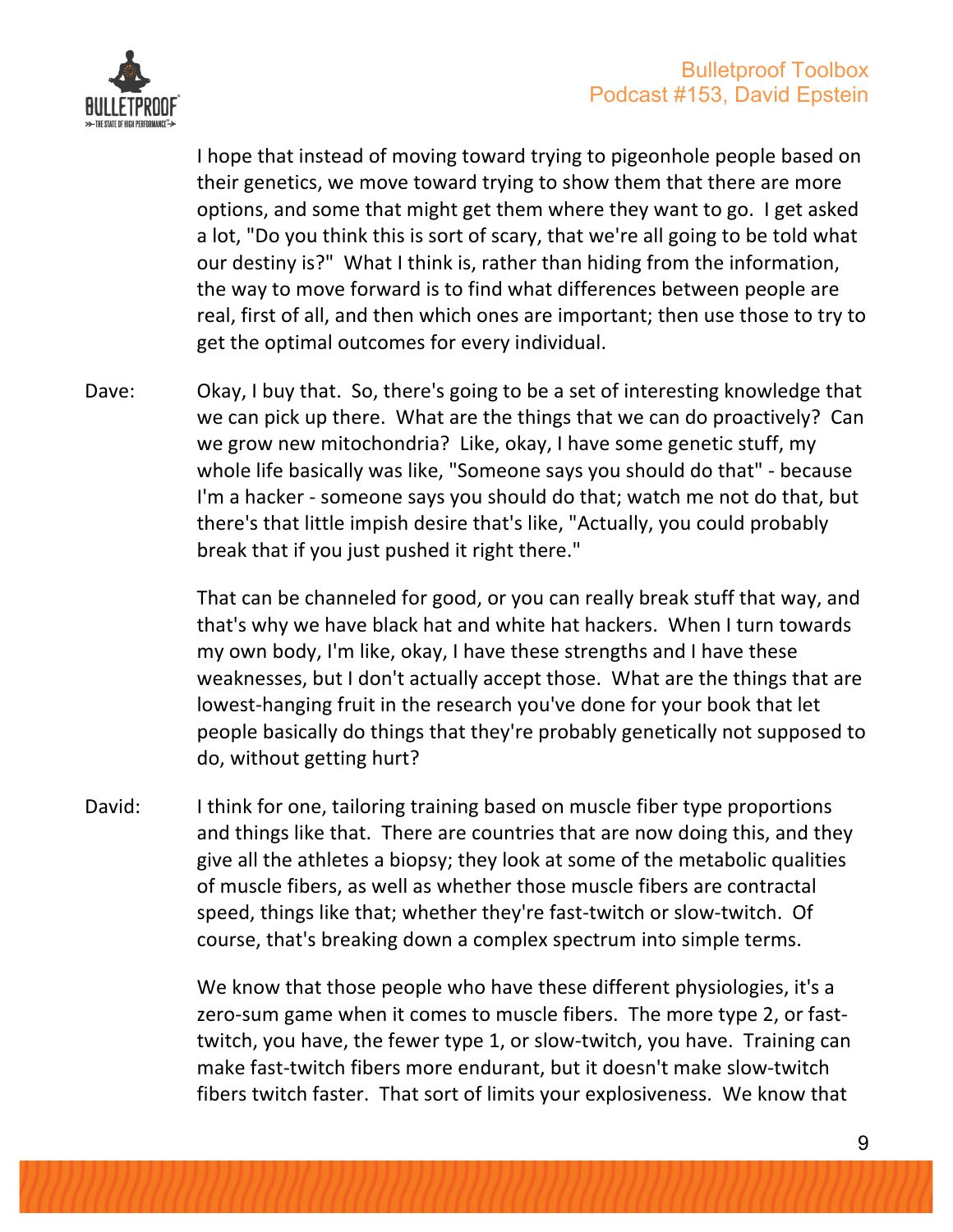

I hope that instead of moving toward trying to pigeonhole people based on their genetics, we move toward trying to show them that there are more options, and some that might get them where they want to go. I get asked a lot, "Do you think this is sort of scary, that we're all going to be told what our destiny is?" What I think is, rather than hiding from the information, the way to move forward is to find what differences between people are real, first of all, and then which ones are important; then use those to try to get the optimal outcomes for every individual.

Dave: Okay, I buy that. So, there's going to be a set of interesting knowledge that we can pick up there. What are the things that we can do proactively? Can we grow new mitochondria? Like, okay, I have some genetic stuff, my whole life basically was like, "Someone says you should do that" - because I'm a hacker - someone says you should do that; watch me not do that, but there's that little impish desire that's like, "Actually, you could probably break that if you just pushed it right there."

> That can be channeled for good, or you can really break stuff that way, and that's why we have black hat and white hat hackers. When I turn towards my own body, I'm like, okay, I have these strengths and I have these weaknesses, but I don't actually accept those. What are the things that are lowest-hanging fruit in the research you've done for your book that let people basically do things that they're probably genetically not supposed to do, without getting hurt?

David: I think for one, tailoring training based on muscle fiber type proportions and things like that. There are countries that are now doing this, and they give all the athletes a biopsy; they look at some of the metabolic qualities of muscle fibers, as well as whether those muscle fibers are contractal speed, things like that; whether they're fast-twitch or slow-twitch. Of course, that's breaking down a complex spectrum into simple terms.

> We know that those people who have these different physiologies, it's a zero-sum game when it comes to muscle fibers. The more type 2, or fasttwitch, you have, the fewer type 1, or slow-twitch, you have. Training can make fast-twitch fibers more endurant, but it doesn't make slow-twitch fibers twitch faster. That sort of limits your explosiveness. We know that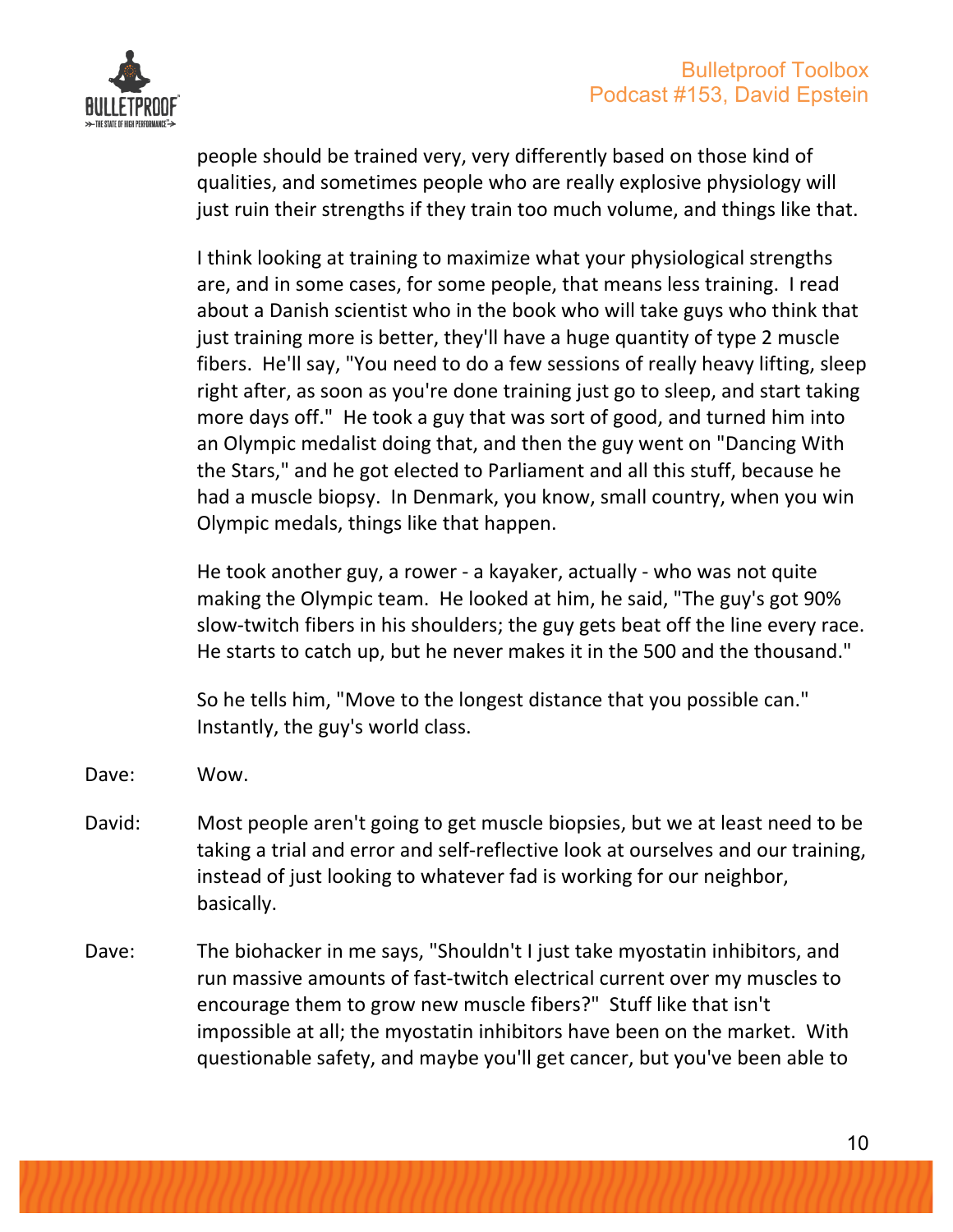

people should be trained very, very differently based on those kind of qualities, and sometimes people who are really explosive physiology will just ruin their strengths if they train too much volume, and things like that.

I think looking at training to maximize what your physiological strengths are, and in some cases, for some people, that means less training. I read about a Danish scientist who in the book who will take guys who think that just training more is better, they'll have a huge quantity of type 2 muscle fibers. He'll say, "You need to do a few sessions of really heavy lifting, sleep right after, as soon as you're done training just go to sleep, and start taking more days off." He took a guy that was sort of good, and turned him into an Olympic medalist doing that, and then the guy went on "Dancing With the Stars," and he got elected to Parliament and all this stuff, because he had a muscle biopsy. In Denmark, you know, small country, when you win Olympic medals, things like that happen.

He took another guy, a rower - a kayaker, actually - who was not quite making the Olympic team. He looked at him, he said, "The guy's got 90% slow-twitch fibers in his shoulders; the guy gets beat off the line every race. He starts to catch up, but he never makes it in the 500 and the thousand."

So he tells him, "Move to the longest distance that you possible can." Instantly, the guy's world class.

- Dave: Wow.
- David: Most people aren't going to get muscle biopsies, but we at least need to be taking a trial and error and self-reflective look at ourselves and our training, instead of just looking to whatever fad is working for our neighbor, basically.
- Dave: The biohacker in me says, "Shouldn't I just take myostatin inhibitors, and run massive amounts of fast-twitch electrical current over my muscles to encourage them to grow new muscle fibers?" Stuff like that isn't impossible at all; the myostatin inhibitors have been on the market. With questionable safety, and maybe you'll get cancer, but you've been able to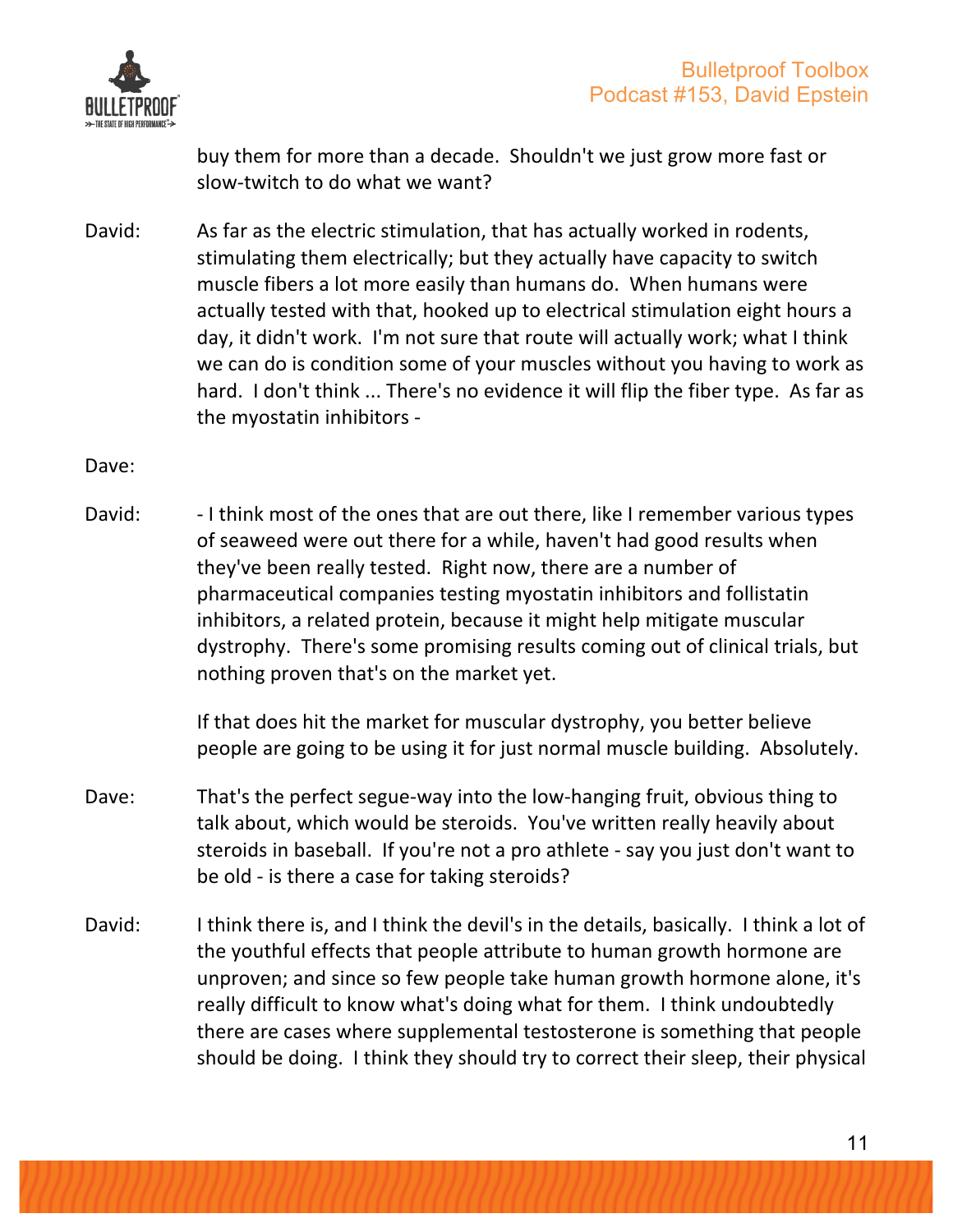

buy them for more than a decade. Shouldn't we just grow more fast or slow-twitch to do what we want?

David: As far as the electric stimulation, that has actually worked in rodents, stimulating them electrically; but they actually have capacity to switch muscle fibers a lot more easily than humans do. When humans were actually tested with that, hooked up to electrical stimulation eight hours a day, it didn't work. I'm not sure that route will actually work; what I think we can do is condition some of your muscles without you having to work as hard. I don't think ... There's no evidence it will flip the fiber type. As far as the myostatin inhibitors -

Dave:

David:  $-1$  think most of the ones that are out there, like I remember various types of seaweed were out there for a while, haven't had good results when they've been really tested. Right now, there are a number of pharmaceutical companies testing myostatin inhibitors and follistatin inhibitors, a related protein, because it might help mitigate muscular dystrophy. There's some promising results coming out of clinical trials, but nothing proven that's on the market yet.

> If that does hit the market for muscular dystrophy, you better believe people are going to be using it for just normal muscle building. Absolutely.

- Dave: That's the perfect segue-way into the low-hanging fruit, obvious thing to talk about, which would be steroids. You've written really heavily about steroids in baseball. If you're not a pro athlete - say you just don't want to be old - is there a case for taking steroids?
- David: I think there is, and I think the devil's in the details, basically. I think a lot of the youthful effects that people attribute to human growth hormone are unproven; and since so few people take human growth hormone alone, it's really difficult to know what's doing what for them. I think undoubtedly there are cases where supplemental testosterone is something that people should be doing. I think they should try to correct their sleep, their physical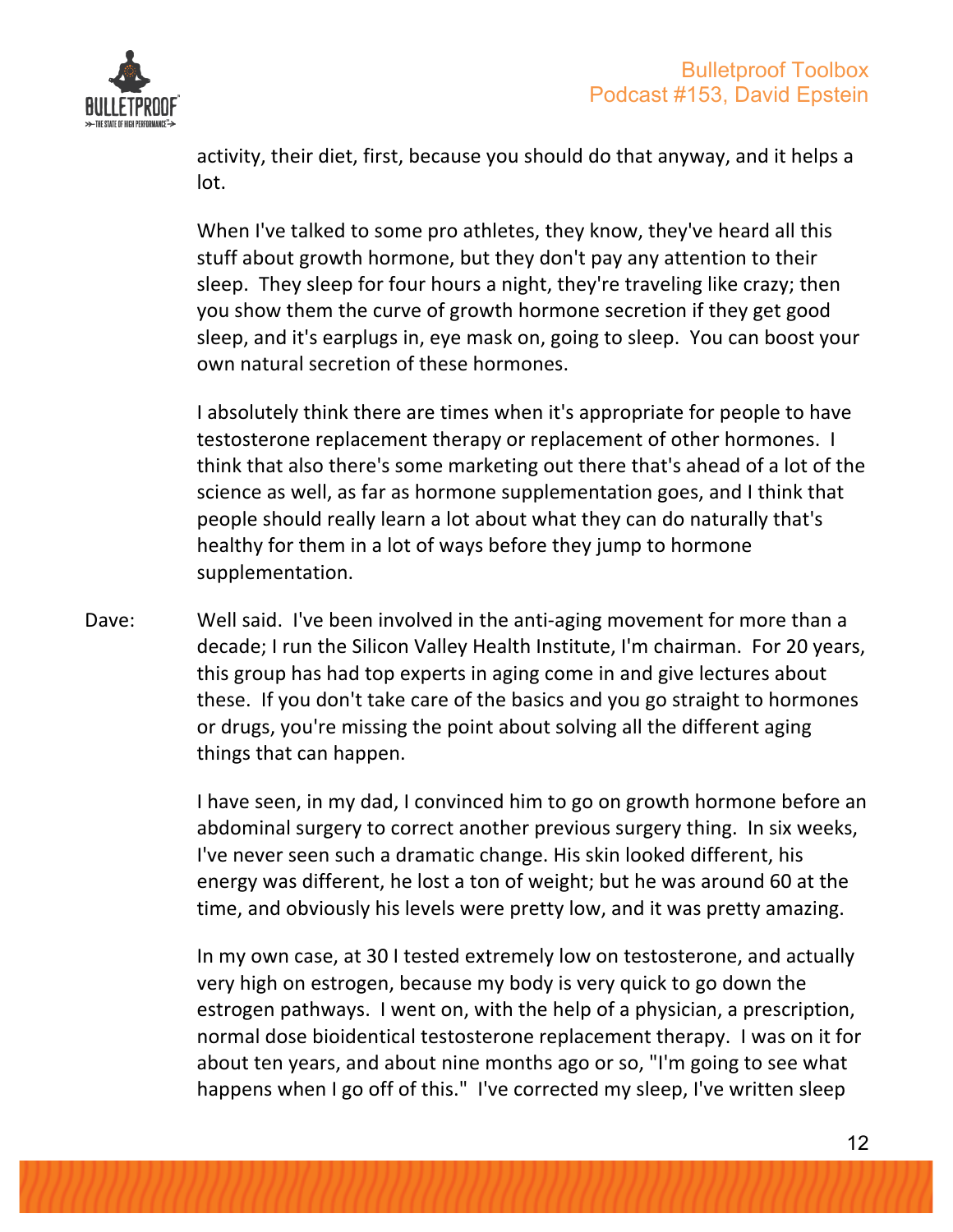

activity, their diet, first, because you should do that anyway, and it helps a lot. 

When I've talked to some pro athletes, they know, they've heard all this stuff about growth hormone, but they don't pay any attention to their sleep. They sleep for four hours a night, they're traveling like crazy; then you show them the curve of growth hormone secretion if they get good sleep, and it's earplugs in, eye mask on, going to sleep. You can boost your own natural secretion of these hormones.

I absolutely think there are times when it's appropriate for people to have testosterone replacement therapy or replacement of other hormones. I think that also there's some marketing out there that's ahead of a lot of the science as well, as far as hormone supplementation goes, and I think that people should really learn a lot about what they can do naturally that's healthy for them in a lot of ways before they jump to hormone supplementation.

Dave: Well said. I've been involved in the anti-aging movement for more than a decade; I run the Silicon Valley Health Institute, I'm chairman. For 20 years, this group has had top experts in aging come in and give lectures about these. If you don't take care of the basics and you go straight to hormones or drugs, you're missing the point about solving all the different aging things that can happen.

> I have seen, in my dad, I convinced him to go on growth hormone before an abdominal surgery to correct another previous surgery thing. In six weeks, I've never seen such a dramatic change. His skin looked different, his energy was different, he lost a ton of weight; but he was around 60 at the time, and obviously his levels were pretty low, and it was pretty amazing.

> In my own case, at 30 I tested extremely low on testosterone, and actually very high on estrogen, because my body is very quick to go down the estrogen pathways. I went on, with the help of a physician, a prescription, normal dose bioidentical testosterone replacement therapy. I was on it for about ten years, and about nine months ago or so, "I'm going to see what happens when I go off of this." I've corrected my sleep, I've written sleep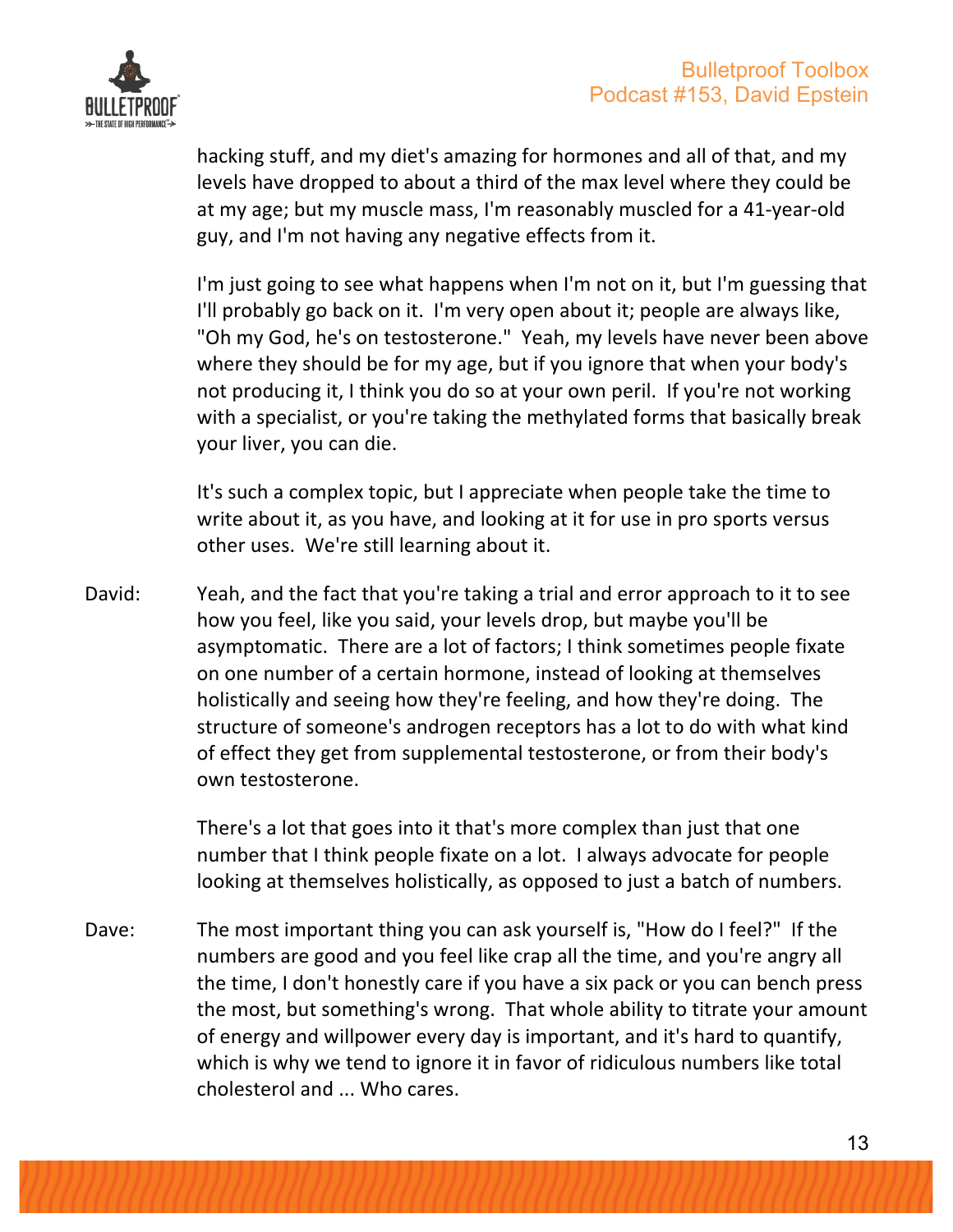

hacking stuff, and my diet's amazing for hormones and all of that, and my levels have dropped to about a third of the max level where they could be at my age; but my muscle mass, I'm reasonably muscled for a 41-year-old guy, and I'm not having any negative effects from it.

I'm just going to see what happens when I'm not on it, but I'm guessing that I'll probably go back on it. I'm very open about it; people are always like, "Oh my God, he's on testosterone." Yeah, my levels have never been above where they should be for my age, but if you ignore that when your body's not producing it, I think you do so at your own peril. If you're not working with a specialist, or you're taking the methylated forms that basically break your liver, you can die.

It's such a complex topic, but I appreciate when people take the time to write about it, as you have, and looking at it for use in pro sports versus other uses. We're still learning about it.

David: Yeah, and the fact that you're taking a trial and error approach to it to see how you feel, like you said, your levels drop, but maybe you'll be asymptomatic. There are a lot of factors; I think sometimes people fixate on one number of a certain hormone, instead of looking at themselves holistically and seeing how they're feeling, and how they're doing. The structure of someone's androgen receptors has a lot to do with what kind of effect they get from supplemental testosterone, or from their body's own testosterone.

> There's a lot that goes into it that's more complex than just that one number that I think people fixate on a lot. I always advocate for people looking at themselves holistically, as opposed to just a batch of numbers.

Dave: The most important thing you can ask yourself is, "How do I feel?" If the numbers are good and you feel like crap all the time, and you're angry all the time, I don't honestly care if you have a six pack or you can bench press the most, but something's wrong. That whole ability to titrate your amount of energy and willpower every day is important, and it's hard to quantify, which is why we tend to ignore it in favor of ridiculous numbers like total cholesterol and ... Who cares.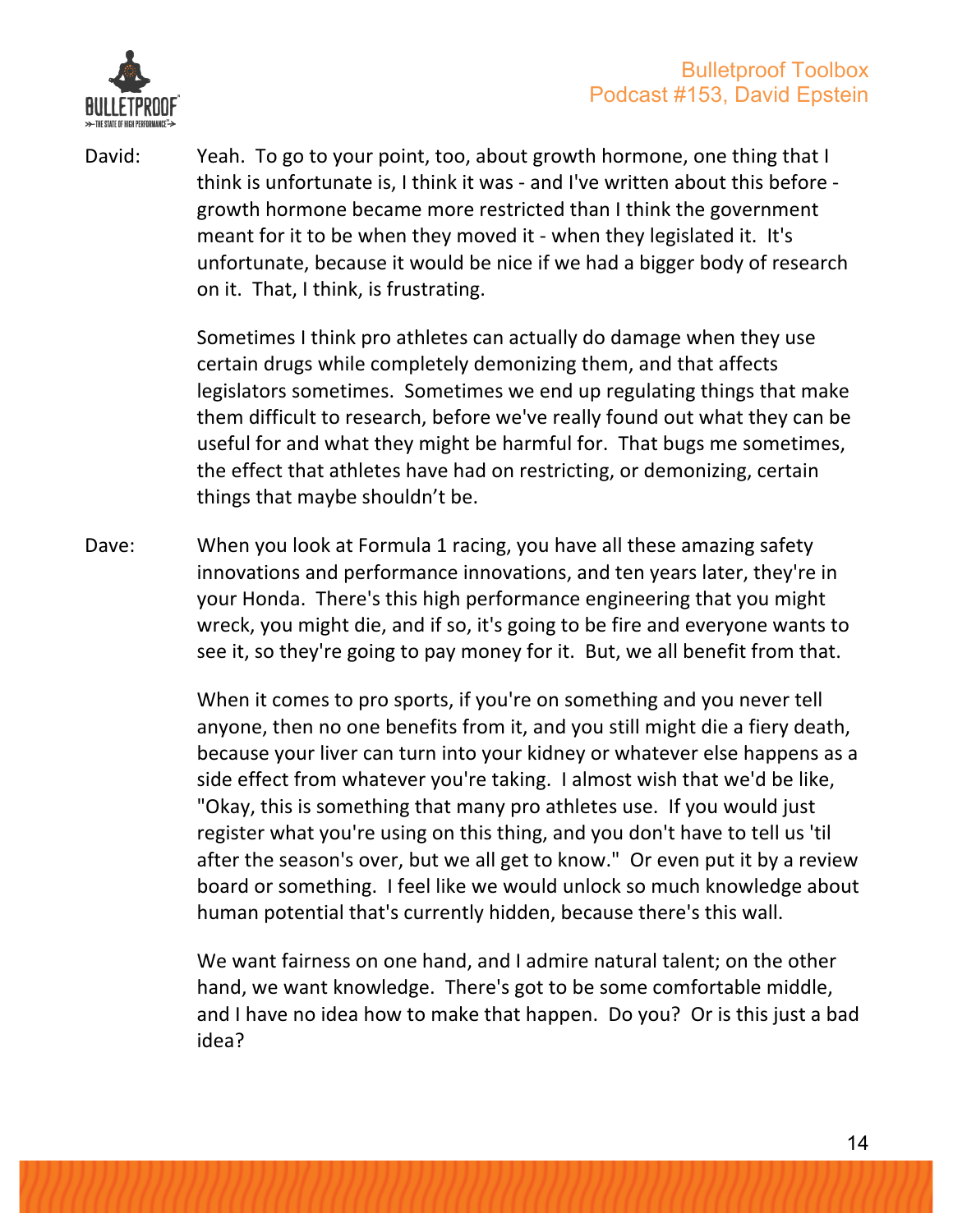

David: Yeah. To go to your point, too, about growth hormone, one thing that I think is unfortunate is, I think it was - and I've written about this before growth hormone became more restricted than I think the government meant for it to be when they moved it - when they legislated it. It's unfortunate, because it would be nice if we had a bigger body of research on it. That, I think, is frustrating.

> Sometimes I think pro athletes can actually do damage when they use certain drugs while completely demonizing them, and that affects legislators sometimes. Sometimes we end up regulating things that make them difficult to research, before we've really found out what they can be useful for and what they might be harmful for. That bugs me sometimes, the effect that athletes have had on restricting, or demonizing, certain things that maybe shouldn't be.

Dave: When you look at Formula 1 racing, you have all these amazing safety innovations and performance innovations, and ten years later, they're in your Honda. There's this high performance engineering that you might wreck, you might die, and if so, it's going to be fire and everyone wants to see it, so they're going to pay money for it. But, we all benefit from that.

> When it comes to pro sports, if you're on something and you never tell anyone, then no one benefits from it, and you still might die a fiery death, because your liver can turn into your kidney or whatever else happens as a side effect from whatever you're taking. I almost wish that we'd be like, "Okay, this is something that many pro athletes use. If you would just register what you're using on this thing, and you don't have to tell us 'til after the season's over, but we all get to know." Or even put it by a review board or something. I feel like we would unlock so much knowledge about human potential that's currently hidden, because there's this wall.

> We want fairness on one hand, and I admire natural talent; on the other hand, we want knowledge. There's got to be some comfortable middle, and I have no idea how to make that happen. Do you? Or is this just a bad idea?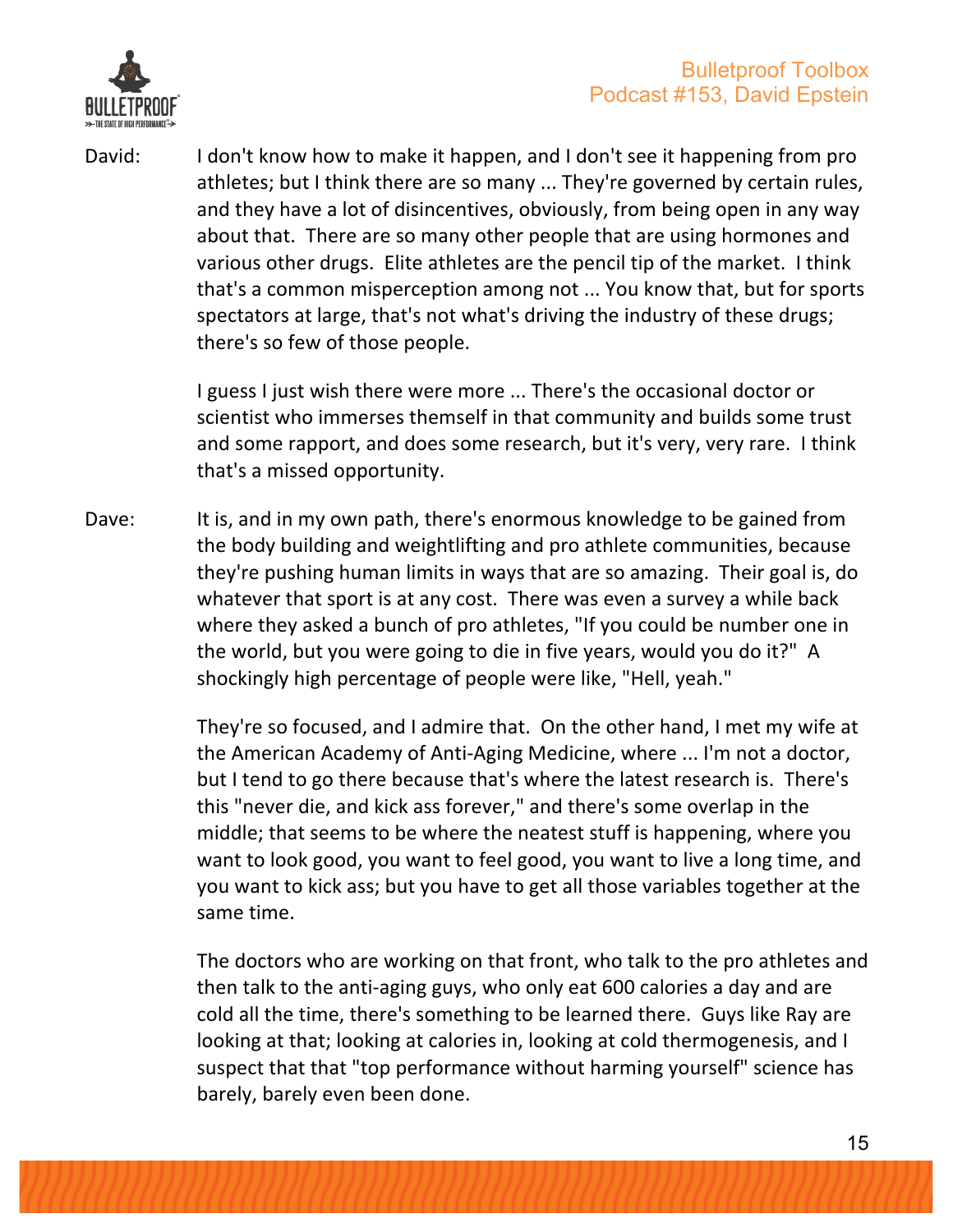

David: I don't know how to make it happen, and I don't see it happening from pro athletes; but I think there are so many ... They're governed by certain rules, and they have a lot of disincentives, obviously, from being open in any way about that. There are so many other people that are using hormones and various other drugs. Elite athletes are the pencil tip of the market. I think that's a common misperception among not ... You know that, but for sports spectators at large, that's not what's driving the industry of these drugs; there's so few of those people.

> I guess I just wish there were more ... There's the occasional doctor or scientist who immerses themself in that community and builds some trust and some rapport, and does some research, but it's very, very rare. I think that's a missed opportunity.

Dave: It is, and in my own path, there's enormous knowledge to be gained from the body building and weightlifting and pro athlete communities, because they're pushing human limits in ways that are so amazing. Their goal is, do whatever that sport is at any cost. There was even a survey a while back where they asked a bunch of pro athletes, "If you could be number one in the world, but you were going to die in five years, would you do it?" A shockingly high percentage of people were like, "Hell, yeah."

> They're so focused, and I admire that. On the other hand, I met my wife at the American Academy of Anti-Aging Medicine, where ... I'm not a doctor, but I tend to go there because that's where the latest research is. There's this "never die, and kick ass forever," and there's some overlap in the middle; that seems to be where the neatest stuff is happening, where you want to look good, you want to feel good, you want to live a long time, and you want to kick ass; but you have to get all those variables together at the same time.

> The doctors who are working on that front, who talk to the pro athletes and then talk to the anti-aging guys, who only eat 600 calories a day and are cold all the time, there's something to be learned there. Guys like Ray are looking at that; looking at calories in, looking at cold thermogenesis, and I suspect that that "top performance without harming yourself" science has barely, barely even been done.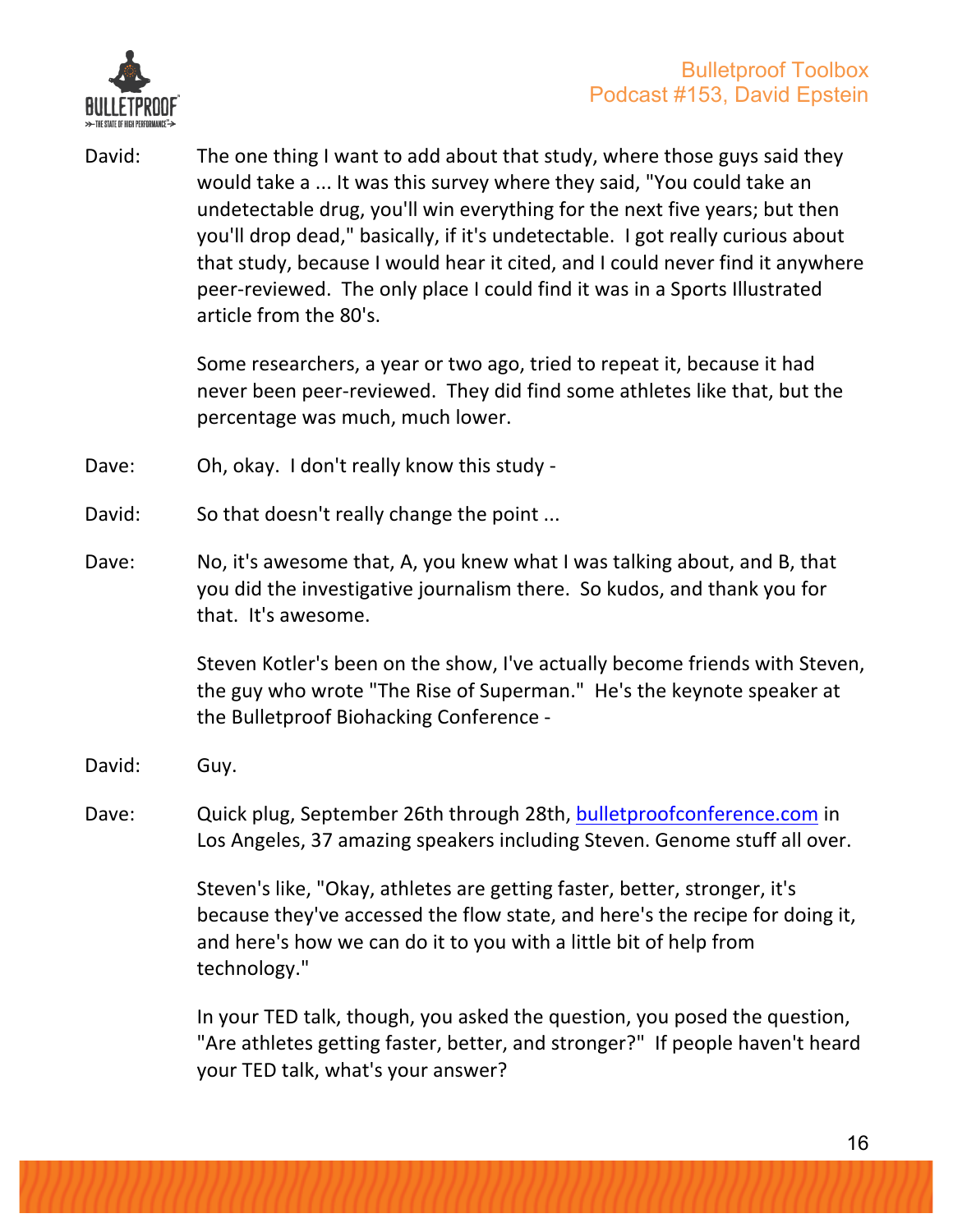

David: The one thing I want to add about that study, where those guys said they would take a ... It was this survey where they said, "You could take an undetectable drug, you'll win everything for the next five years; but then you'll drop dead," basically, if it's undetectable. I got really curious about that study, because I would hear it cited, and I could never find it anywhere peer-reviewed. The only place I could find it was in a Sports Illustrated article from the 80's.

> Some researchers, a year or two ago, tried to repeat it, because it had never been peer-reviewed. They did find some athletes like that, but the percentage was much, much lower.

- Dave: Oh, okay. I don't really know this study -
- David: So that doesn't really change the point ...
- Dave: No, it's awesome that, A, you knew what I was talking about, and B, that you did the investigative journalism there. So kudos, and thank you for that. It's awesome.

Steven Kotler's been on the show, I've actually become friends with Steven, the guy who wrote "The Rise of Superman." He's the keynote speaker at the Bulletproof Biohacking Conference -

- David: Guy.
- Dave: Quick plug, September 26th through 28th, bulletproofconference.com in Los Angeles, 37 amazing speakers including Steven. Genome stuff all over.

Steven's like, "Okay, athletes are getting faster, better, stronger, it's because they've accessed the flow state, and here's the recipe for doing it, and here's how we can do it to you with a little bit of help from technology."

In your TED talk, though, you asked the question, you posed the question, "Are athletes getting faster, better, and stronger?" If people haven't heard your TED talk, what's your answer?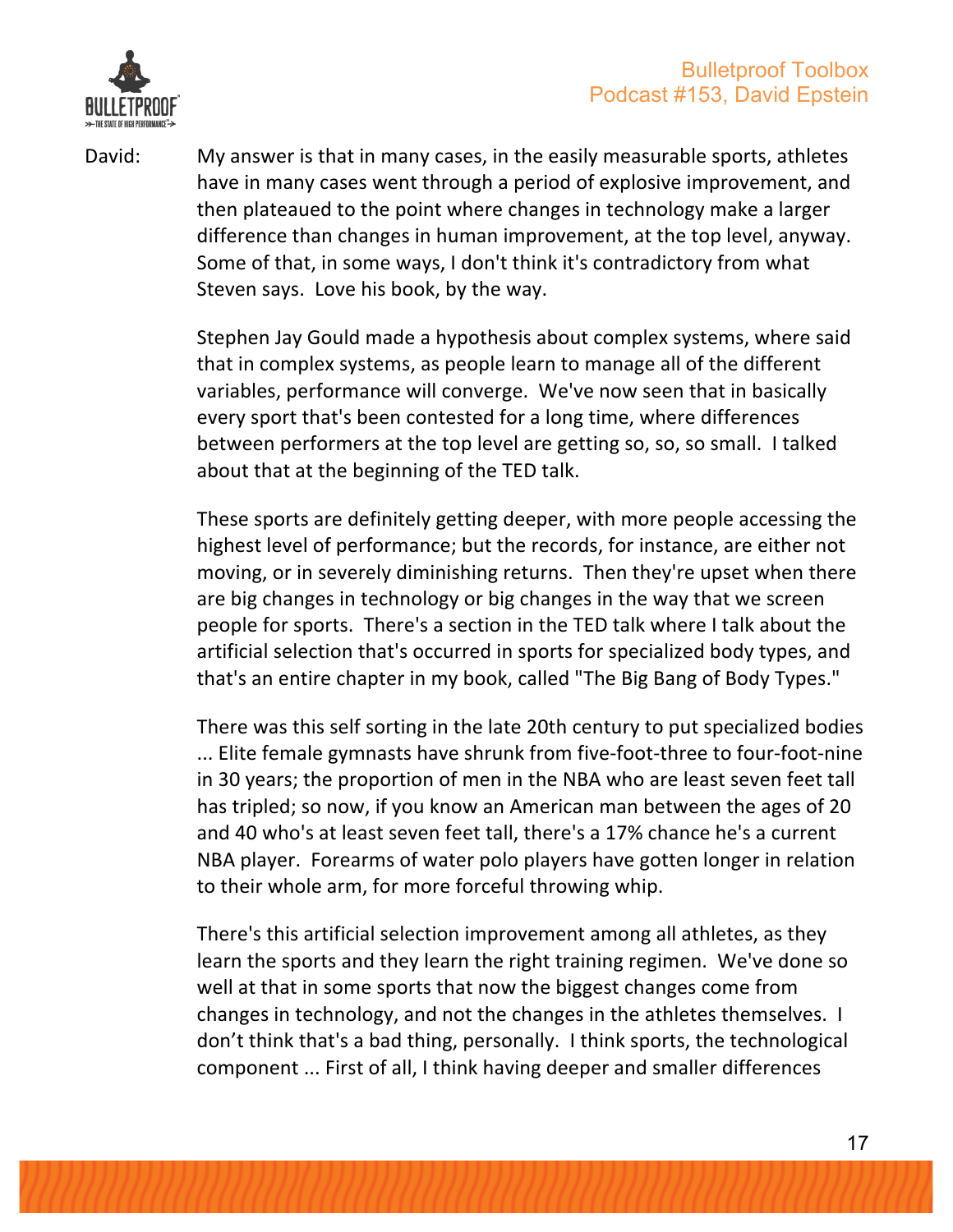

David: My answer is that in many cases, in the easily measurable sports, athletes have in many cases went through a period of explosive improvement, and then plateaued to the point where changes in technology make a larger difference than changes in human improvement, at the top level, anyway. Some of that, in some ways, I don't think it's contradictory from what Steven says. Love his book, by the way.

> Stephen Jay Gould made a hypothesis about complex systems, where said that in complex systems, as people learn to manage all of the different variables, performance will converge. We've now seen that in basically every sport that's been contested for a long time, where differences between performers at the top level are getting so, so, so small. I talked about that at the beginning of the TED talk.

These sports are definitely getting deeper, with more people accessing the highest level of performance; but the records, for instance, are either not moving, or in severely diminishing returns. Then they're upset when there are big changes in technology or big changes in the way that we screen people for sports. There's a section in the TED talk where I talk about the artificial selection that's occurred in sports for specialized body types, and that's an entire chapter in my book, called "The Big Bang of Body Types."

There was this self sorting in the late 20th century to put specialized bodies ... Elite female gymnasts have shrunk from five-foot-three to four-foot-nine in 30 years; the proportion of men in the NBA who are least seven feet tall has tripled; so now, if you know an American man between the ages of 20 and 40 who's at least seven feet tall, there's a 17% chance he's a current NBA player. Forearms of water polo players have gotten longer in relation to their whole arm, for more forceful throwing whip.

There's this artificial selection improvement among all athletes, as they learn the sports and they learn the right training regimen. We've done so well at that in some sports that now the biggest changes come from changes in technology, and not the changes in the athletes themselves. I don't think that's a bad thing, personally. I think sports, the technological component ... First of all, I think having deeper and smaller differences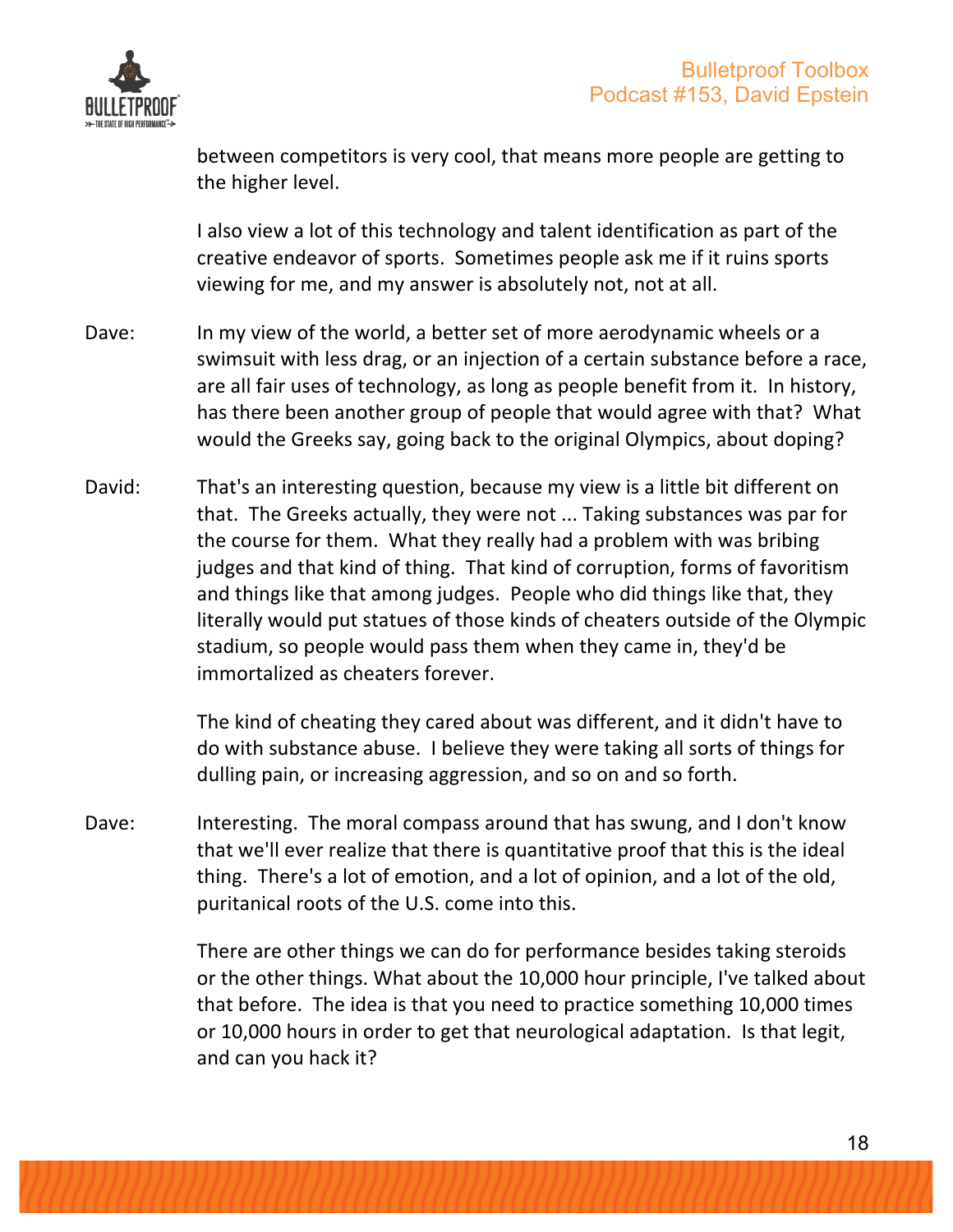

between competitors is very cool, that means more people are getting to the higher level.

I also view a lot of this technology and talent identification as part of the creative endeavor of sports. Sometimes people ask me if it ruins sports viewing for me, and my answer is absolutely not, not at all.

- Dave: In my view of the world, a better set of more aerodynamic wheels or a swimsuit with less drag, or an injection of a certain substance before a race, are all fair uses of technology, as long as people benefit from it. In history, has there been another group of people that would agree with that? What would the Greeks say, going back to the original Olympics, about doping?
- David: That's an interesting question, because my view is a little bit different on that. The Greeks actually, they were not ... Taking substances was par for the course for them. What they really had a problem with was bribing judges and that kind of thing. That kind of corruption, forms of favoritism and things like that among judges. People who did things like that, they literally would put statues of those kinds of cheaters outside of the Olympic stadium, so people would pass them when they came in, they'd be immortalized as cheaters forever.

The kind of cheating they cared about was different, and it didn't have to do with substance abuse. I believe they were taking all sorts of things for dulling pain, or increasing aggression, and so on and so forth.

Dave: Interesting. The moral compass around that has swung, and I don't know that we'll ever realize that there is quantitative proof that this is the ideal thing. There's a lot of emotion, and a lot of opinion, and a lot of the old, puritanical roots of the U.S. come into this.

> There are other things we can do for performance besides taking steroids or the other things. What about the 10,000 hour principle, I've talked about that before. The idea is that you need to practice something 10,000 times or 10,000 hours in order to get that neurological adaptation. Is that legit, and can you hack it?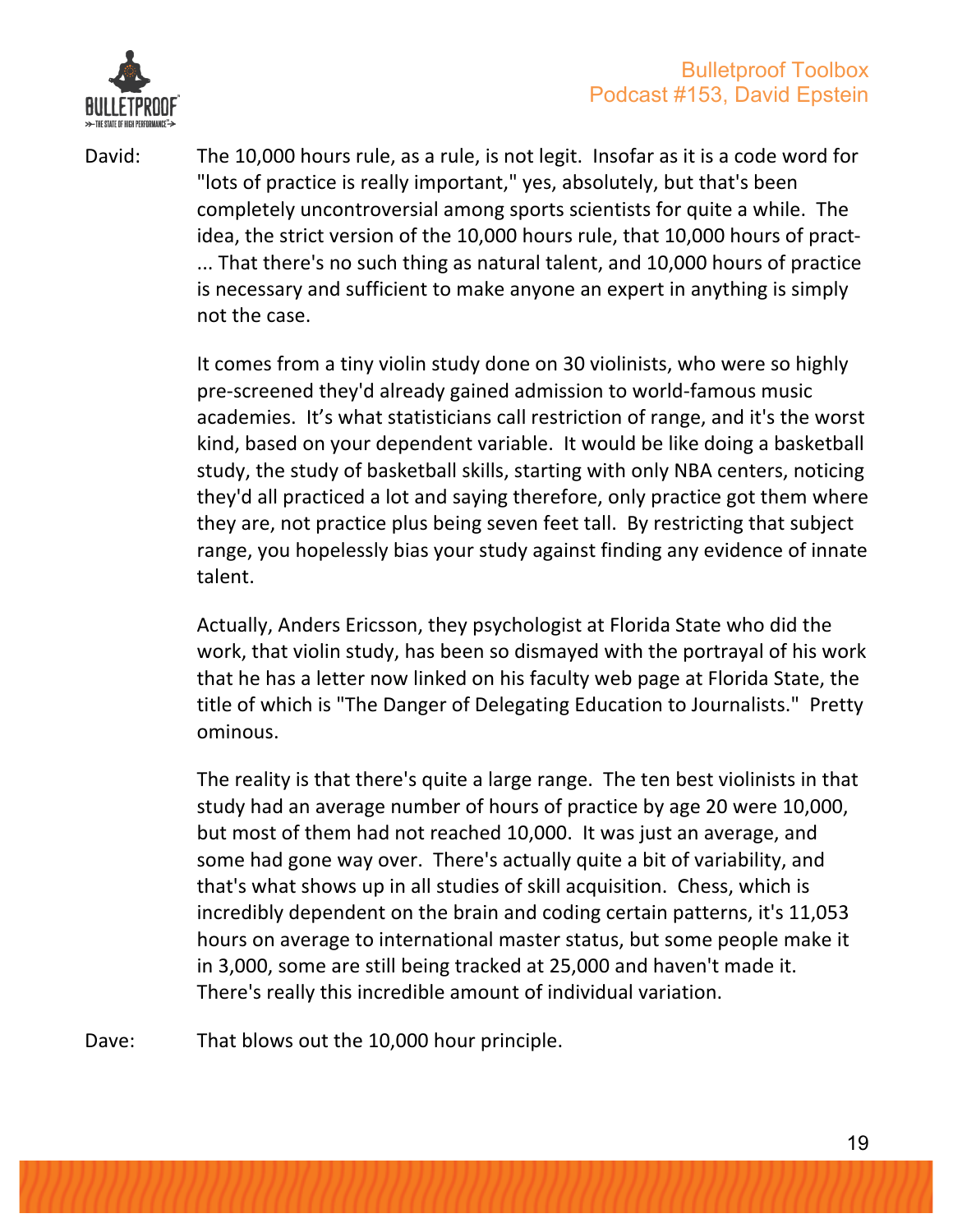

David: The 10,000 hours rule, as a rule, is not legit. Insofar as it is a code word for "lots of practice is really important," yes, absolutely, but that's been completely uncontroversial among sports scientists for quite a while. The idea, the strict version of the 10,000 hours rule, that 10,000 hours of pract-... That there's no such thing as natural talent, and 10,000 hours of practice is necessary and sufficient to make anyone an expert in anything is simply not the case.

> It comes from a tiny violin study done on 30 violinists, who were so highly pre-screened they'd already gained admission to world-famous music academies. It's what statisticians call restriction of range, and it's the worst kind, based on your dependent variable. It would be like doing a basketball study, the study of basketball skills, starting with only NBA centers, noticing they'd all practiced a lot and saying therefore, only practice got them where they are, not practice plus being seven feet tall. By restricting that subject range, you hopelessly bias your study against finding any evidence of innate talent.

> Actually, Anders Ericsson, they psychologist at Florida State who did the work, that violin study, has been so dismayed with the portrayal of his work that he has a letter now linked on his faculty web page at Florida State, the title of which is "The Danger of Delegating Education to Journalists." Pretty ominous.

The reality is that there's quite a large range. The ten best violinists in that study had an average number of hours of practice by age 20 were 10,000, but most of them had not reached 10,000. It was just an average, and some had gone way over. There's actually quite a bit of variability, and that's what shows up in all studies of skill acquisition. Chess, which is incredibly dependent on the brain and coding certain patterns, it's 11,053 hours on average to international master status, but some people make it in 3,000, some are still being tracked at 25,000 and haven't made it. There's really this incredible amount of individual variation.

Dave: That blows out the 10,000 hour principle.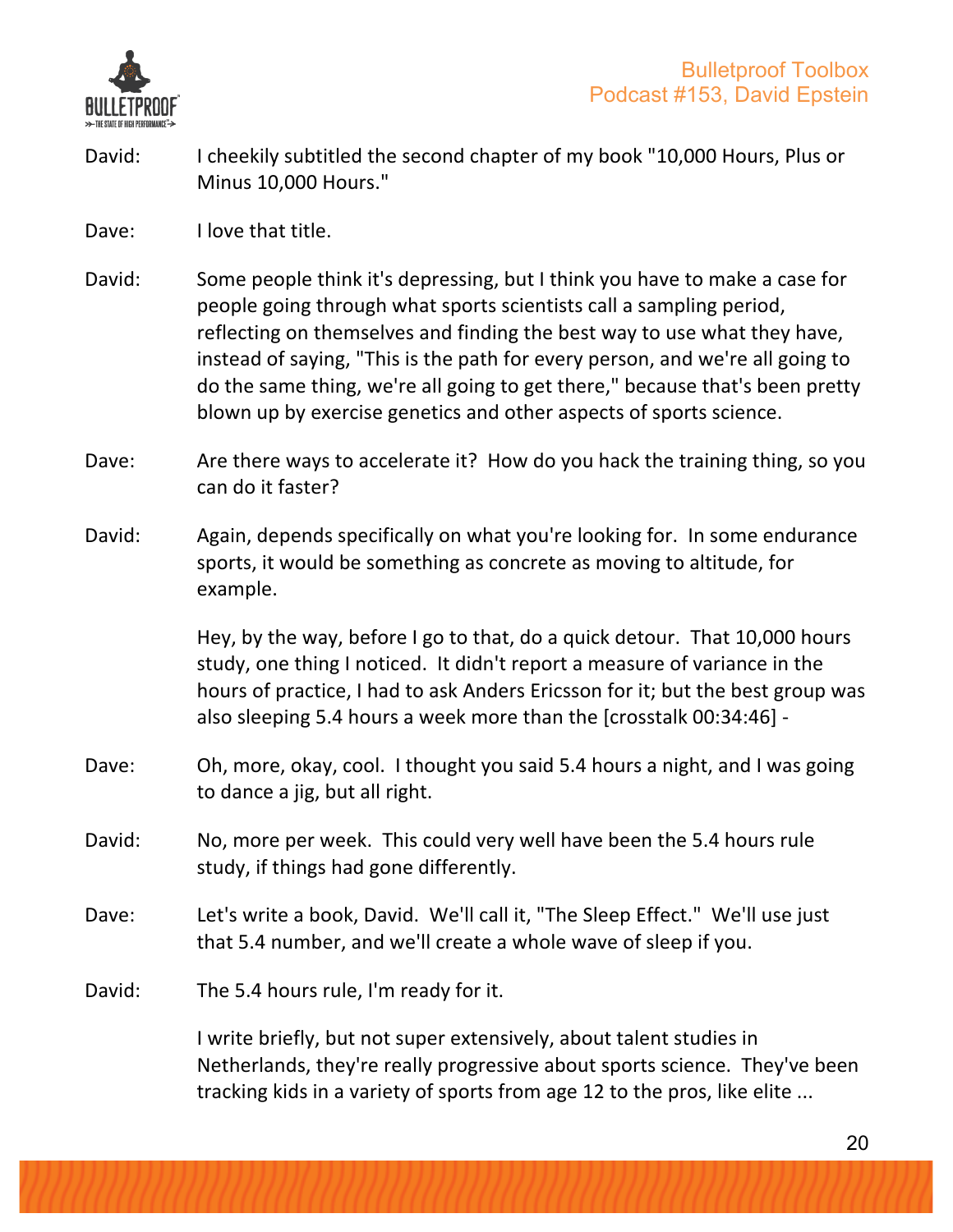

- David: I cheekily subtitled the second chapter of my book "10,000 Hours, Plus or Minus 10,000 Hours."
- Dave: I love that title.
- David: Some people think it's depressing, but I think you have to make a case for people going through what sports scientists call a sampling period, reflecting on themselves and finding the best way to use what they have, instead of saying, "This is the path for every person, and we're all going to do the same thing, we're all going to get there," because that's been pretty blown up by exercise genetics and other aspects of sports science.
- Dave: Are there ways to accelerate it? How do you hack the training thing, so you can do it faster?
- David: Again, depends specifically on what you're looking for. In some endurance sports, it would be something as concrete as moving to altitude, for example.

Hey, by the way, before I go to that, do a quick detour. That 10,000 hours study, one thing I noticed. It didn't report a measure of variance in the hours of practice, I had to ask Anders Ericsson for it; but the best group was also sleeping 5.4 hours a week more than the [crosstalk 00:34:46] -

- Dave: Oh, more, okay, cool. I thought you said 5.4 hours a night, and I was going to dance a jig, but all right.
- David: No, more per week. This could very well have been the 5.4 hours rule study, if things had gone differently.
- Dave: Let's write a book, David. We'll call it, "The Sleep Effect." We'll use just that 5.4 number, and we'll create a whole wave of sleep if you.
- David: The 5.4 hours rule, I'm ready for it.

I write briefly, but not super extensively, about talent studies in Netherlands, they're really progressive about sports science. They've been tracking kids in a variety of sports from age 12 to the pros, like elite ...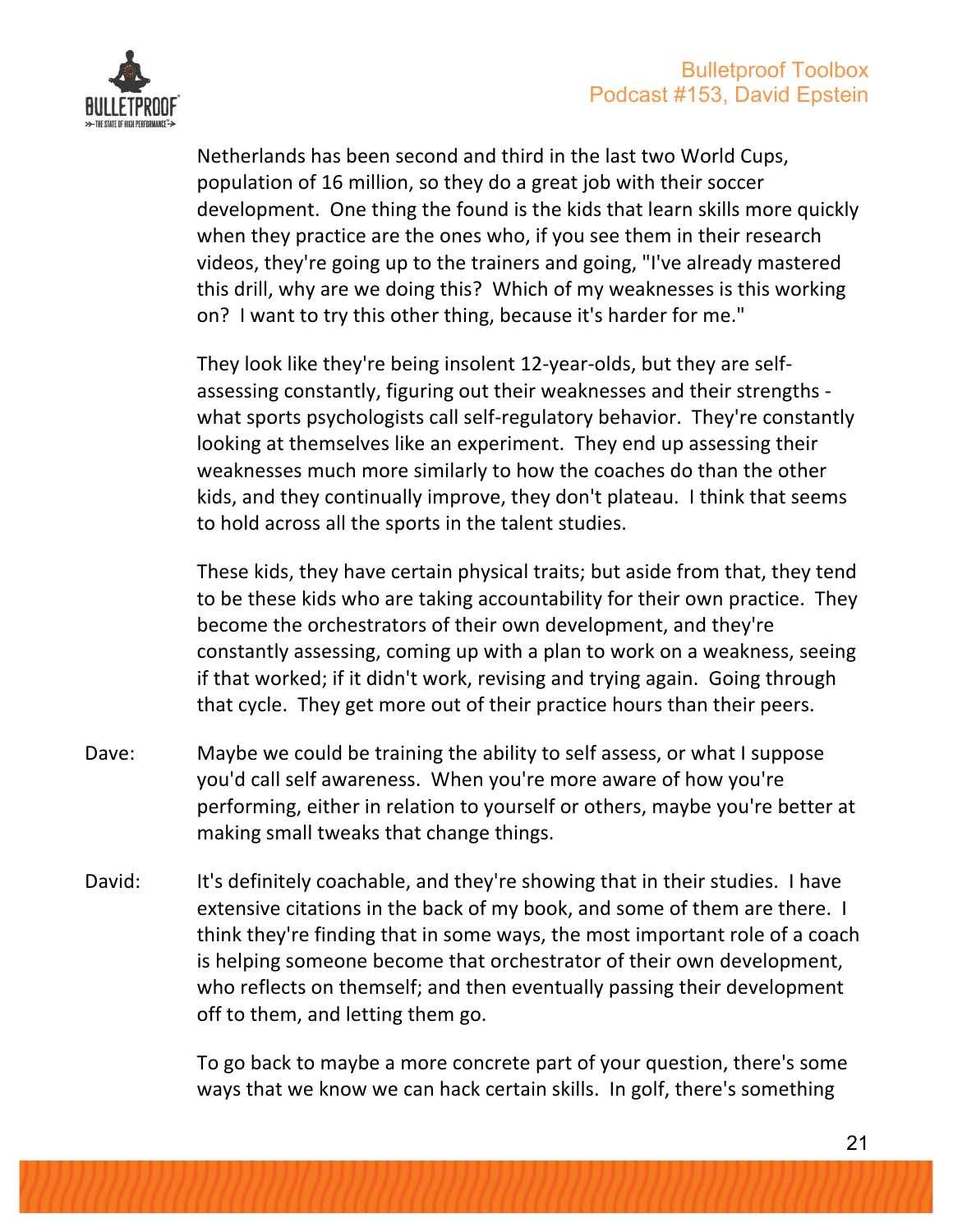

Netherlands has been second and third in the last two World Cups, population of 16 million, so they do a great job with their soccer development. One thing the found is the kids that learn skills more quickly when they practice are the ones who, if you see them in their research videos, they're going up to the trainers and going, "I've already mastered this drill, why are we doing this? Which of my weaknesses is this working on? I want to try this other thing, because it's harder for me."

They look like they're being insolent 12-year-olds, but they are selfassessing constantly, figuring out their weaknesses and their strengths what sports psychologists call self-regulatory behavior. They're constantly looking at themselves like an experiment. They end up assessing their weaknesses much more similarly to how the coaches do than the other kids, and they continually improve, they don't plateau. I think that seems to hold across all the sports in the talent studies.

These kids, they have certain physical traits; but aside from that, they tend to be these kids who are taking accountability for their own practice. They become the orchestrators of their own development, and they're constantly assessing, coming up with a plan to work on a weakness, seeing if that worked; if it didn't work, revising and trying again. Going through that cycle. They get more out of their practice hours than their peers.

- Dave: Maybe we could be training the ability to self assess, or what I suppose you'd call self awareness. When you're more aware of how you're performing, either in relation to yourself or others, maybe you're better at making small tweaks that change things.
- David: It's definitely coachable, and they're showing that in their studies. I have extensive citations in the back of my book, and some of them are there. I think they're finding that in some ways, the most important role of a coach is helping someone become that orchestrator of their own development, who reflects on themself; and then eventually passing their development off to them, and letting them go.

To go back to maybe a more concrete part of your question, there's some ways that we know we can hack certain skills. In golf, there's something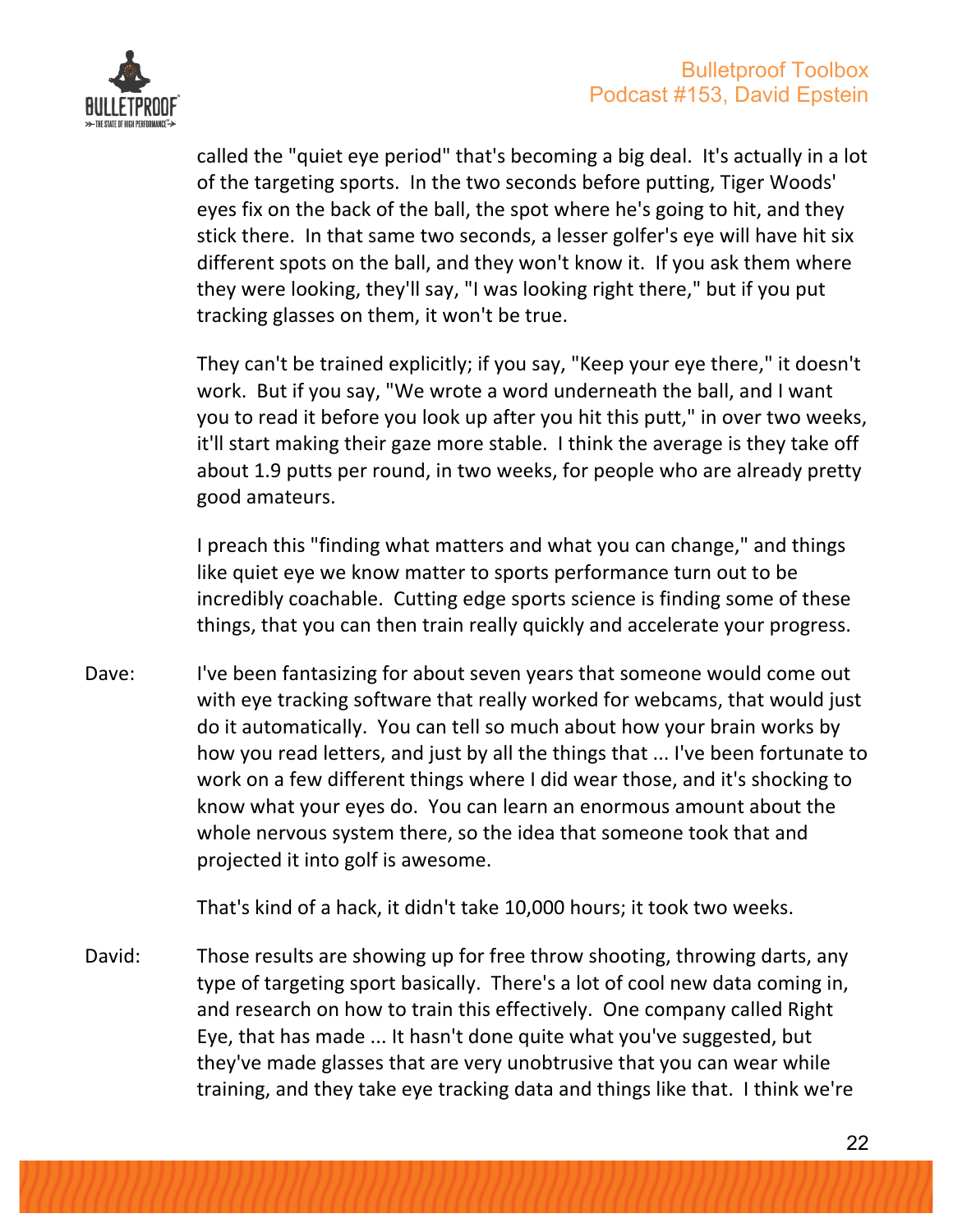

called the "quiet eye period" that's becoming a big deal. It's actually in a lot of the targeting sports. In the two seconds before putting, Tiger Woods' eyes fix on the back of the ball, the spot where he's going to hit, and they stick there. In that same two seconds, a lesser golfer's eye will have hit six different spots on the ball, and they won't know it. If you ask them where they were looking, they'll say, "I was looking right there," but if you put tracking glasses on them, it won't be true.

They can't be trained explicitly; if you say, "Keep your eye there," it doesn't work. But if you say, "We wrote a word underneath the ball, and I want you to read it before you look up after you hit this putt," in over two weeks, it'll start making their gaze more stable. I think the average is they take off about 1.9 putts per round, in two weeks, for people who are already pretty good amateurs.

I preach this "finding what matters and what you can change," and things like quiet eye we know matter to sports performance turn out to be incredibly coachable. Cutting edge sports science is finding some of these things, that you can then train really quickly and accelerate your progress.

Dave: I've been fantasizing for about seven years that someone would come out with eye tracking software that really worked for webcams, that would just do it automatically. You can tell so much about how your brain works by how you read letters, and just by all the things that ... I've been fortunate to work on a few different things where I did wear those, and it's shocking to know what your eyes do. You can learn an enormous amount about the whole nervous system there, so the idea that someone took that and projected it into golf is awesome.

That's kind of a hack, it didn't take 10,000 hours; it took two weeks.

David: Those results are showing up for free throw shooting, throwing darts, any type of targeting sport basically. There's a lot of cool new data coming in, and research on how to train this effectively. One company called Right Eye, that has made ... It hasn't done quite what you've suggested, but they've made glasses that are very unobtrusive that you can wear while training, and they take eye tracking data and things like that. I think we're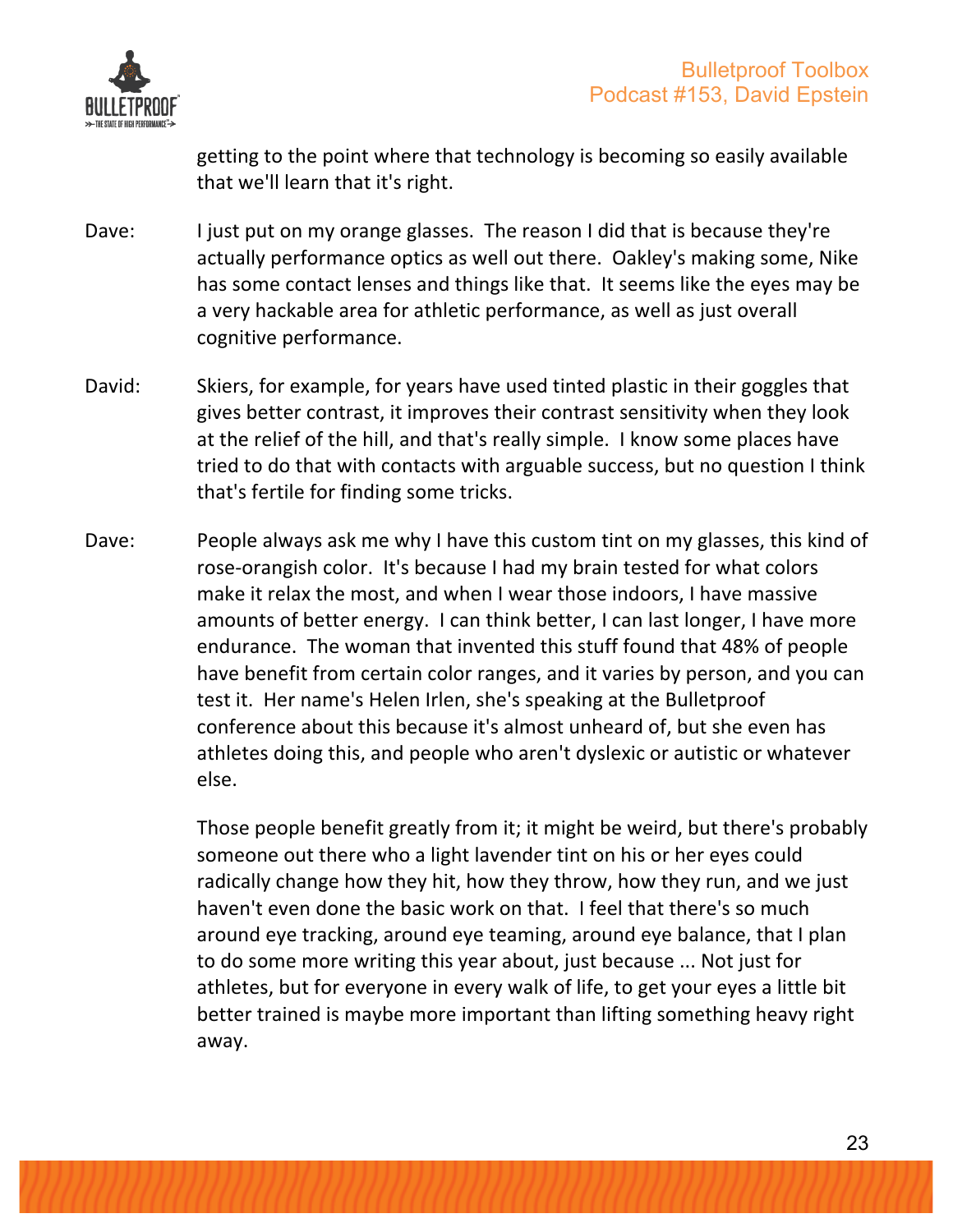

getting to the point where that technology is becoming so easily available that we'll learn that it's right.

- Dave: I just put on my orange glasses. The reason I did that is because they're actually performance optics as well out there. Oakley's making some, Nike has some contact lenses and things like that. It seems like the eyes may be a very hackable area for athletic performance, as well as just overall cognitive performance.
- David: Skiers, for example, for years have used tinted plastic in their goggles that gives better contrast, it improves their contrast sensitivity when they look at the relief of the hill, and that's really simple. I know some places have tried to do that with contacts with arguable success, but no question I think that's fertile for finding some tricks.
- Dave: People always ask me why I have this custom tint on my glasses, this kind of rose-orangish color. It's because I had my brain tested for what colors make it relax the most, and when I wear those indoors, I have massive amounts of better energy. I can think better, I can last longer, I have more endurance. The woman that invented this stuff found that 48% of people have benefit from certain color ranges, and it varies by person, and you can test it. Her name's Helen Irlen, she's speaking at the Bulletproof conference about this because it's almost unheard of, but she even has athletes doing this, and people who aren't dyslexic or autistic or whatever else.

Those people benefit greatly from it; it might be weird, but there's probably someone out there who a light lavender tint on his or her eyes could radically change how they hit, how they throw, how they run, and we just haven't even done the basic work on that. I feel that there's so much around eye tracking, around eye teaming, around eye balance, that I plan to do some more writing this year about, just because ... Not just for athletes, but for everyone in every walk of life, to get your eyes a little bit better trained is maybe more important than lifting something heavy right away.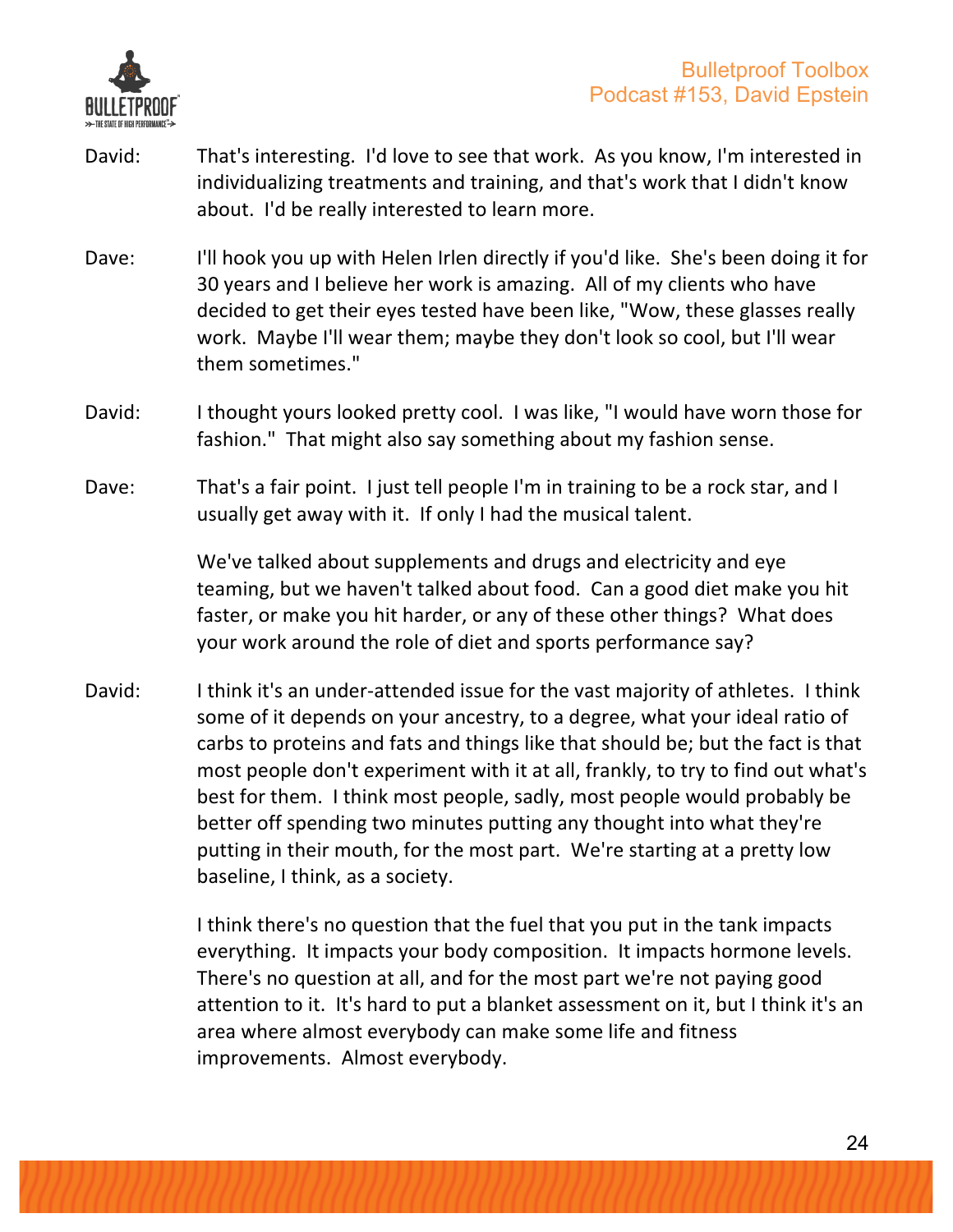

- David: That's interesting. I'd love to see that work. As you know, I'm interested in individualizing treatments and training, and that's work that I didn't know about. I'd be really interested to learn more.
- Dave: I'll hook you up with Helen Irlen directly if you'd like. She's been doing it for 30 years and I believe her work is amazing. All of my clients who have decided to get their eyes tested have been like, "Wow, these glasses really work. Maybe I'll wear them; maybe they don't look so cool, but I'll wear them sometimes."
- David: I thought yours looked pretty cool. I was like, "I would have worn those for fashion." That might also say something about my fashion sense.
- Dave: That's a fair point. I just tell people I'm in training to be a rock star, and I usually get away with it. If only I had the musical talent.

We've talked about supplements and drugs and electricity and eye teaming, but we haven't talked about food. Can a good diet make you hit faster, or make you hit harder, or any of these other things? What does your work around the role of diet and sports performance say?

David: I think it's an under-attended issue for the vast majority of athletes. I think some of it depends on your ancestry, to a degree, what your ideal ratio of carbs to proteins and fats and things like that should be; but the fact is that most people don't experiment with it at all, frankly, to try to find out what's best for them. I think most people, sadly, most people would probably be better off spending two minutes putting any thought into what they're putting in their mouth, for the most part. We're starting at a pretty low baseline, I think, as a society.

> I think there's no question that the fuel that you put in the tank impacts everything. It impacts your body composition. It impacts hormone levels. There's no question at all, and for the most part we're not paying good attention to it. It's hard to put a blanket assessment on it, but I think it's an area where almost everybody can make some life and fitness improvements. Almost everybody.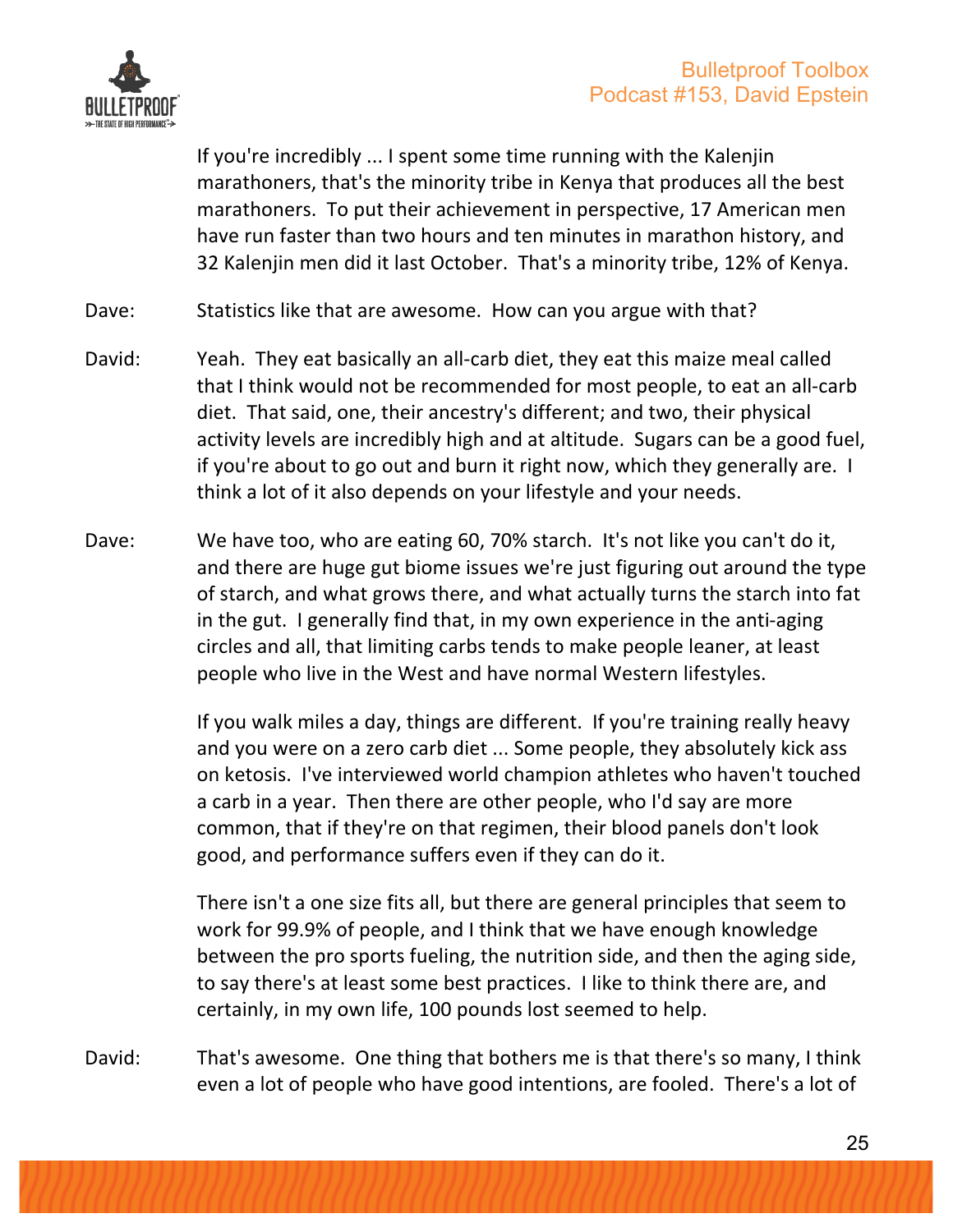

If you're incredibly ... I spent some time running with the Kalenjin marathoners, that's the minority tribe in Kenya that produces all the best marathoners. To put their achievement in perspective, 17 American men have run faster than two hours and ten minutes in marathon history, and 32 Kalenjin men did it last October. That's a minority tribe, 12% of Kenya.

- Dave: Statistics like that are awesome. How can you argue with that?
- David: Yeah. They eat basically an all-carb diet, they eat this maize meal called that I think would not be recommended for most people, to eat an all-carb diet. That said, one, their ancestry's different; and two, their physical activity levels are incredibly high and at altitude. Sugars can be a good fuel, if you're about to go out and burn it right now, which they generally are. I think a lot of it also depends on your lifestyle and your needs.
- Dave: We have too, who are eating 60, 70% starch. It's not like you can't do it, and there are huge gut biome issues we're just figuring out around the type of starch, and what grows there, and what actually turns the starch into fat in the gut. I generally find that, in my own experience in the anti-aging circles and all, that limiting carbs tends to make people leaner, at least people who live in the West and have normal Western lifestyles.

If you walk miles a day, things are different. If you're training really heavy and you were on a zero carb diet ... Some people, they absolutely kick ass on ketosis. I've interviewed world champion athletes who haven't touched a carb in a year. Then there are other people, who I'd say are more common, that if they're on that regimen, their blood panels don't look good, and performance suffers even if they can do it.

There isn't a one size fits all, but there are general principles that seem to work for 99.9% of people, and I think that we have enough knowledge between the pro sports fueling, the nutrition side, and then the aging side, to say there's at least some best practices. I like to think there are, and certainly, in my own life, 100 pounds lost seemed to help.

David: That's awesome. One thing that bothers me is that there's so many, I think even a lot of people who have good intentions, are fooled. There's a lot of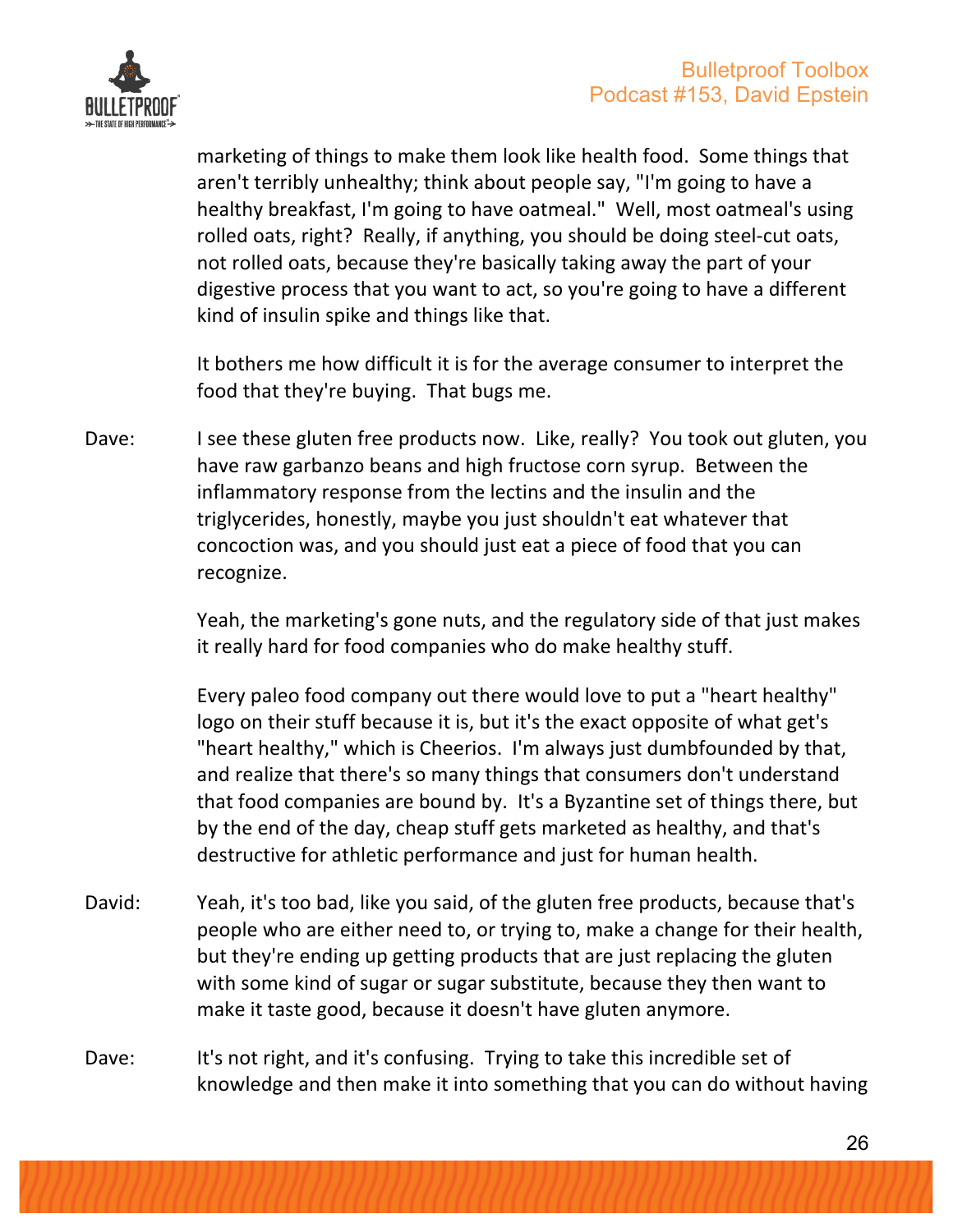

marketing of things to make them look like health food. Some things that aren't terribly unhealthy; think about people say, "I'm going to have a healthy breakfast, I'm going to have oatmeal." Well, most oatmeal's using rolled oats, right? Really, if anything, you should be doing steel-cut oats, not rolled oats, because they're basically taking away the part of your digestive process that you want to act, so you're going to have a different kind of insulin spike and things like that.

It bothers me how difficult it is for the average consumer to interpret the food that they're buying. That bugs me.

Dave: I see these gluten free products now. Like, really? You took out gluten, you have raw garbanzo beans and high fructose corn syrup. Between the inflammatory response from the lectins and the insulin and the triglycerides, honestly, maybe you just shouldn't eat whatever that concoction was, and you should just eat a piece of food that you can recognize.

> Yeah, the marketing's gone nuts, and the regulatory side of that just makes it really hard for food companies who do make healthy stuff.

Every paleo food company out there would love to put a "heart healthy" logo on their stuff because it is, but it's the exact opposite of what get's "heart healthy," which is Cheerios. I'm always just dumbfounded by that, and realize that there's so many things that consumers don't understand that food companies are bound by. It's a Byzantine set of things there, but by the end of the day, cheap stuff gets marketed as healthy, and that's destructive for athletic performance and just for human health.

- David: Yeah, it's too bad, like you said, of the gluten free products, because that's people who are either need to, or trying to, make a change for their health, but they're ending up getting products that are just replacing the gluten with some kind of sugar or sugar substitute, because they then want to make it taste good, because it doesn't have gluten anymore.
- Dave: It's not right, and it's confusing. Trying to take this incredible set of knowledge and then make it into something that you can do without having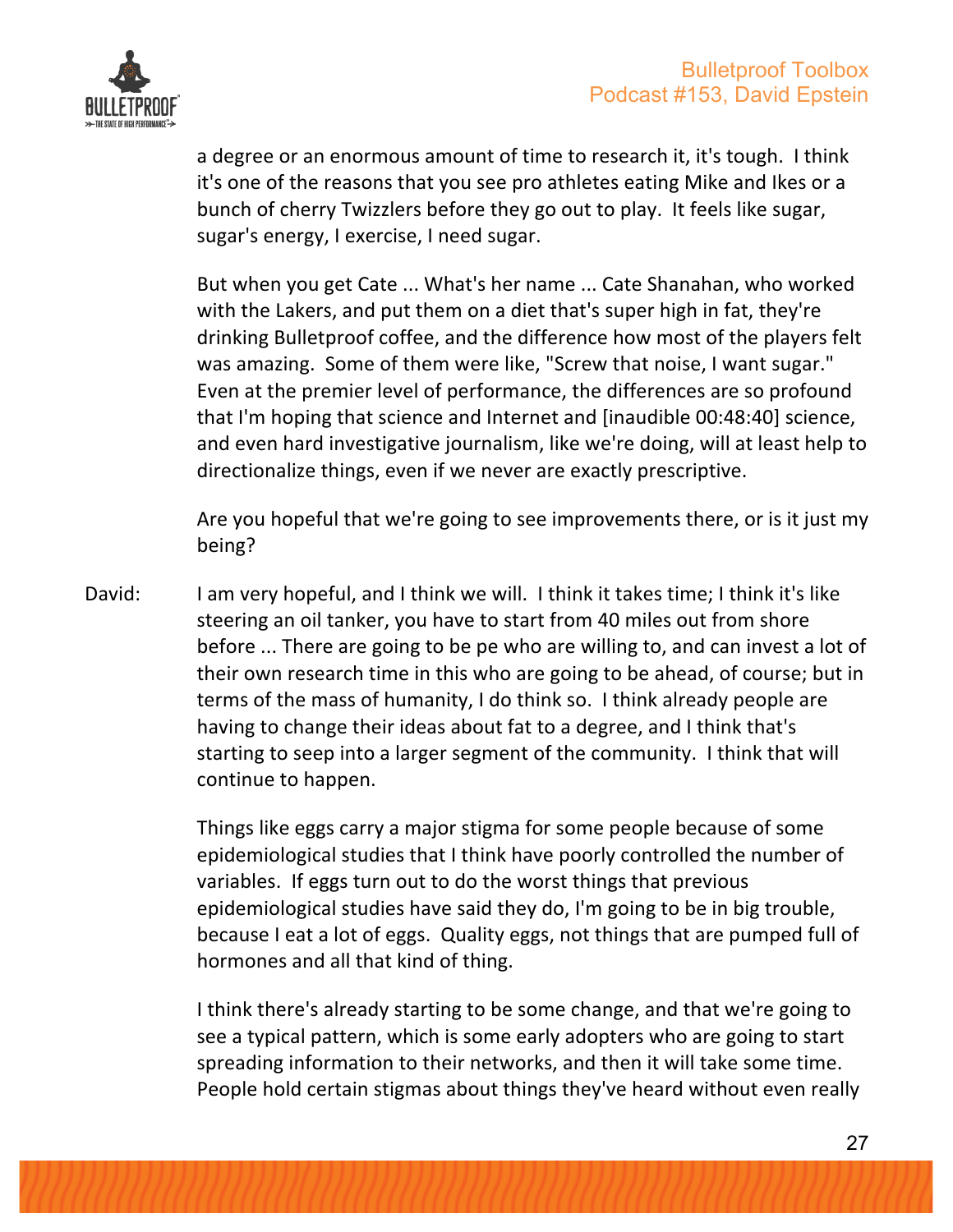

a degree or an enormous amount of time to research it, it's tough. I think it's one of the reasons that you see pro athletes eating Mike and Ikes or a bunch of cherry Twizzlers before they go out to play. It feels like sugar, sugar's energy, I exercise, I need sugar.

But when you get Cate ... What's her name ... Cate Shanahan, who worked with the Lakers, and put them on a diet that's super high in fat, they're drinking Bulletproof coffee, and the difference how most of the players felt was amazing. Some of them were like, "Screw that noise, I want sugar." Even at the premier level of performance, the differences are so profound that I'm hoping that science and Internet and [inaudible 00:48:40] science, and even hard investigative journalism, like we're doing, will at least help to directionalize things, even if we never are exactly prescriptive.

Are you hopeful that we're going to see improvements there, or is it just my being?

David: I am very hopeful, and I think we will. I think it takes time; I think it's like steering an oil tanker, you have to start from 40 miles out from shore before ... There are going to be pe who are willing to, and can invest a lot of their own research time in this who are going to be ahead, of course; but in terms of the mass of humanity, I do think so. I think already people are having to change their ideas about fat to a degree, and I think that's starting to seep into a larger segment of the community. I think that will continue to happen.

> Things like eggs carry a major stigma for some people because of some epidemiological studies that I think have poorly controlled the number of variables. If eggs turn out to do the worst things that previous epidemiological studies have said they do, I'm going to be in big trouble, because I eat a lot of eggs. Quality eggs, not things that are pumped full of hormones and all that kind of thing.

> I think there's already starting to be some change, and that we're going to see a typical pattern, which is some early adopters who are going to start spreading information to their networks, and then it will take some time. People hold certain stigmas about things they've heard without even really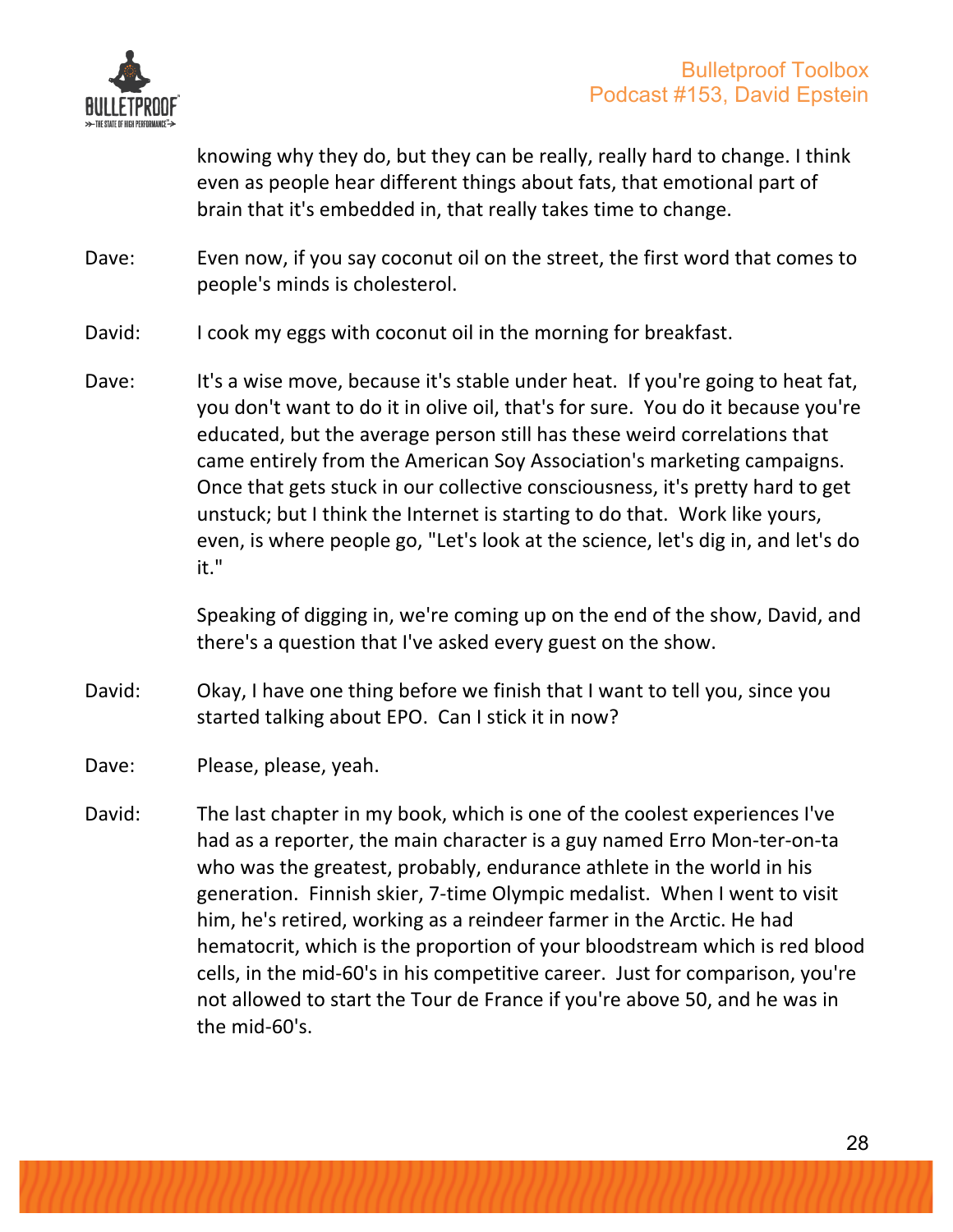

knowing why they do, but they can be really, really hard to change. I think even as people hear different things about fats, that emotional part of brain that it's embedded in, that really takes time to change.

Dave: Even now, if you say coconut oil on the street, the first word that comes to people's minds is cholesterol.

- David: I cook my eggs with coconut oil in the morning for breakfast.
- Dave: It's a wise move, because it's stable under heat. If you're going to heat fat, you don't want to do it in olive oil, that's for sure. You do it because you're educated, but the average person still has these weird correlations that came entirely from the American Soy Association's marketing campaigns. Once that gets stuck in our collective consciousness, it's pretty hard to get unstuck; but I think the Internet is starting to do that. Work like yours, even, is where people go, "Let's look at the science, let's dig in, and let's do it."

Speaking of digging in, we're coming up on the end of the show, David, and there's a question that I've asked every guest on the show.

- David: Okay, I have one thing before we finish that I want to tell you, since you started talking about EPO. Can I stick it in now?
- Dave: Please, please, yeah.
- David: The last chapter in my book, which is one of the coolest experiences I've had as a reporter, the main character is a guy named Erro Mon-ter-on-ta who was the greatest, probably, endurance athlete in the world in his generation. Finnish skier, 7-time Olympic medalist. When I went to visit him, he's retired, working as a reindeer farmer in the Arctic. He had hematocrit, which is the proportion of your bloodstream which is red blood cells, in the mid-60's in his competitive career. Just for comparison, you're not allowed to start the Tour de France if you're above 50, and he was in the  $mid-60's$ .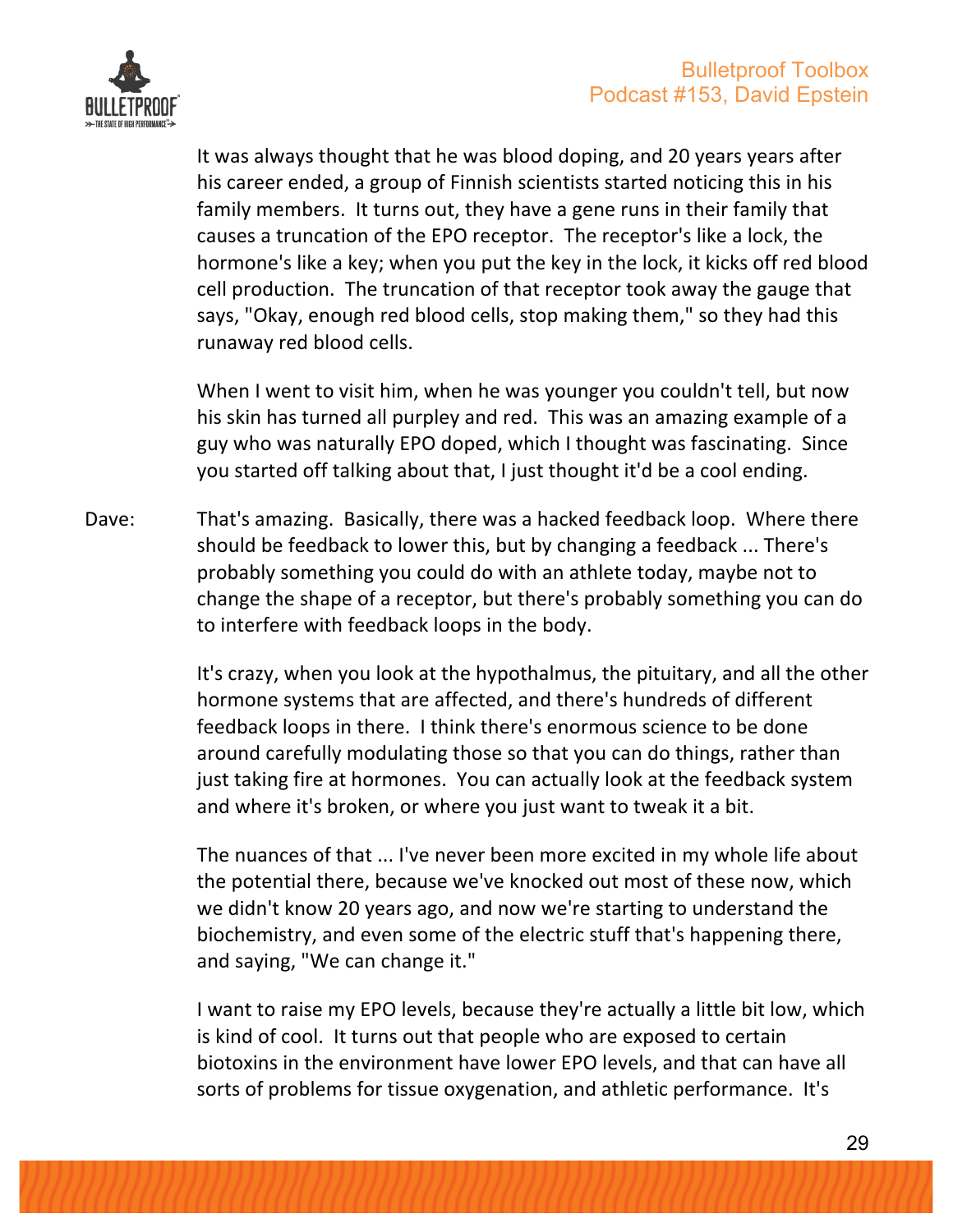

It was always thought that he was blood doping, and 20 years years after his career ended, a group of Finnish scientists started noticing this in his family members. It turns out, they have a gene runs in their family that causes a truncation of the EPO receptor. The receptor's like a lock, the hormone's like a key; when you put the key in the lock, it kicks off red blood cell production. The truncation of that receptor took away the gauge that says, "Okay, enough red blood cells, stop making them," so they had this runaway red blood cells.

When I went to visit him, when he was younger you couldn't tell, but now his skin has turned all purpley and red. This was an amazing example of a guy who was naturally EPO doped, which I thought was fascinating. Since you started off talking about that, I just thought it'd be a cool ending.

Dave: That's amazing. Basically, there was a hacked feedback loop. Where there should be feedback to lower this, but by changing a feedback ... There's probably something you could do with an athlete today, maybe not to change the shape of a receptor, but there's probably something you can do to interfere with feedback loops in the body.

> It's crazy, when you look at the hypothalmus, the pituitary, and all the other hormone systems that are affected, and there's hundreds of different feedback loops in there. I think there's enormous science to be done around carefully modulating those so that you can do things, rather than just taking fire at hormones. You can actually look at the feedback system and where it's broken, or where you just want to tweak it a bit.

The nuances of that ... I've never been more excited in my whole life about the potential there, because we've knocked out most of these now, which we didn't know 20 years ago, and now we're starting to understand the biochemistry, and even some of the electric stuff that's happening there, and saying, "We can change it."

I want to raise my EPO levels, because they're actually a little bit low, which is kind of cool. It turns out that people who are exposed to certain biotoxins in the environment have lower EPO levels, and that can have all sorts of problems for tissue oxygenation, and athletic performance. It's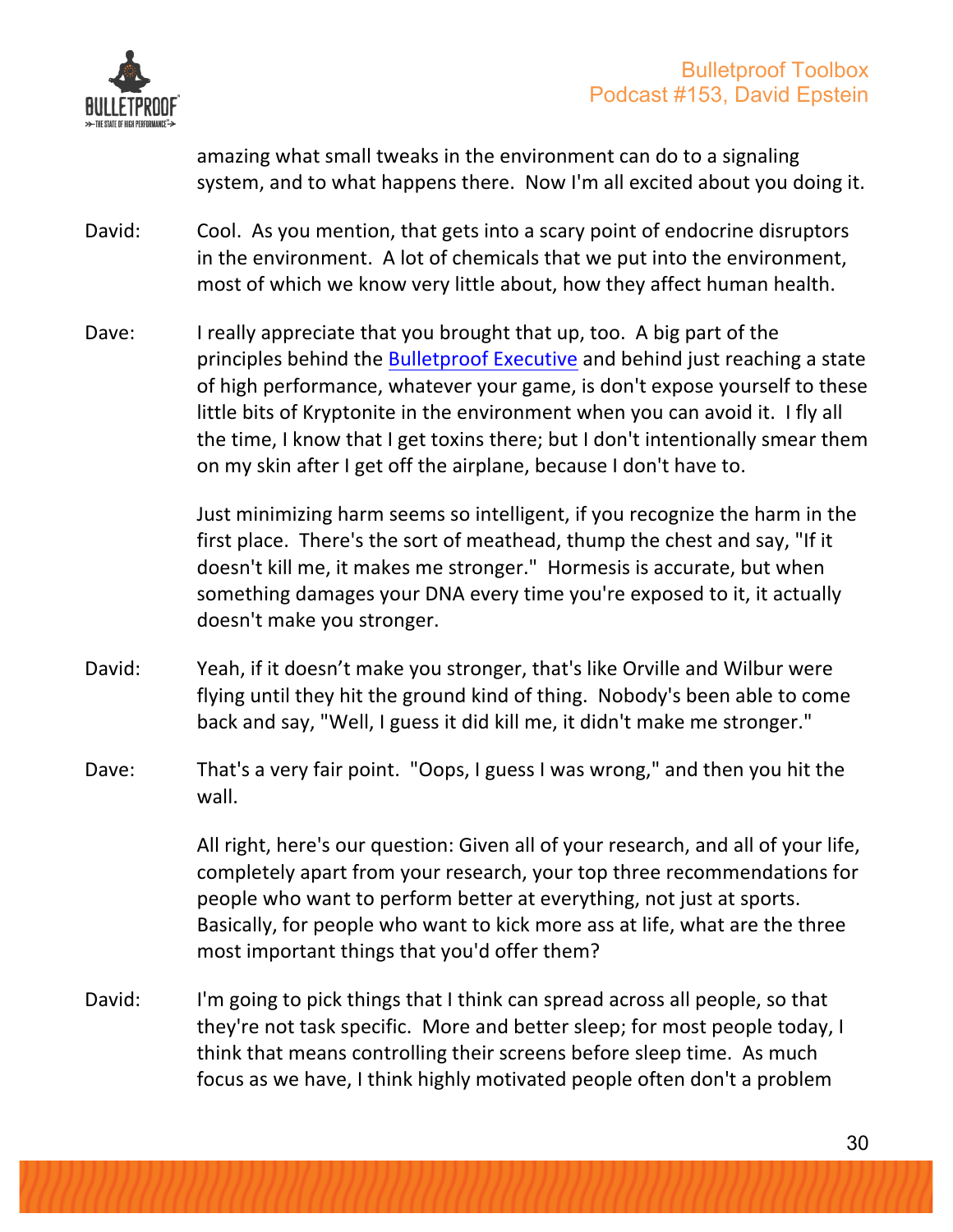

amazing what small tweaks in the environment can do to a signaling system, and to what happens there. Now I'm all excited about you doing it.

- David: Cool. As you mention, that gets into a scary point of endocrine disruptors in the environment. A lot of chemicals that we put into the environment, most of which we know very little about, how they affect human health.
- Dave: I really appreciate that you brought that up, too. A big part of the principles behind the Bulletproof Executive and behind just reaching a state of high performance, whatever your game, is don't expose yourself to these little bits of Kryptonite in the environment when you can avoid it. I fly all the time, I know that I get toxins there; but I don't intentionally smear them on my skin after I get off the airplane, because I don't have to.

Just minimizing harm seems so intelligent, if you recognize the harm in the first place. There's the sort of meathead, thump the chest and say, "If it doesn't kill me, it makes me stronger." Hormesis is accurate, but when something damages your DNA every time you're exposed to it, it actually doesn't make you stronger.

- David: Yeah, if it doesn't make you stronger, that's like Orville and Wilbur were flying until they hit the ground kind of thing. Nobody's been able to come back and say, "Well, I guess it did kill me, it didn't make me stronger."
- Dave: That's a very fair point. "Oops, I guess I was wrong," and then you hit the wall.

All right, here's our question: Given all of your research, and all of your life, completely apart from your research, your top three recommendations for people who want to perform better at everything, not just at sports. Basically, for people who want to kick more ass at life, what are the three most important things that you'd offer them?

David: I'm going to pick things that I think can spread across all people, so that they're not task specific. More and better sleep; for most people today, I think that means controlling their screens before sleep time. As much focus as we have, I think highly motivated people often don't a problem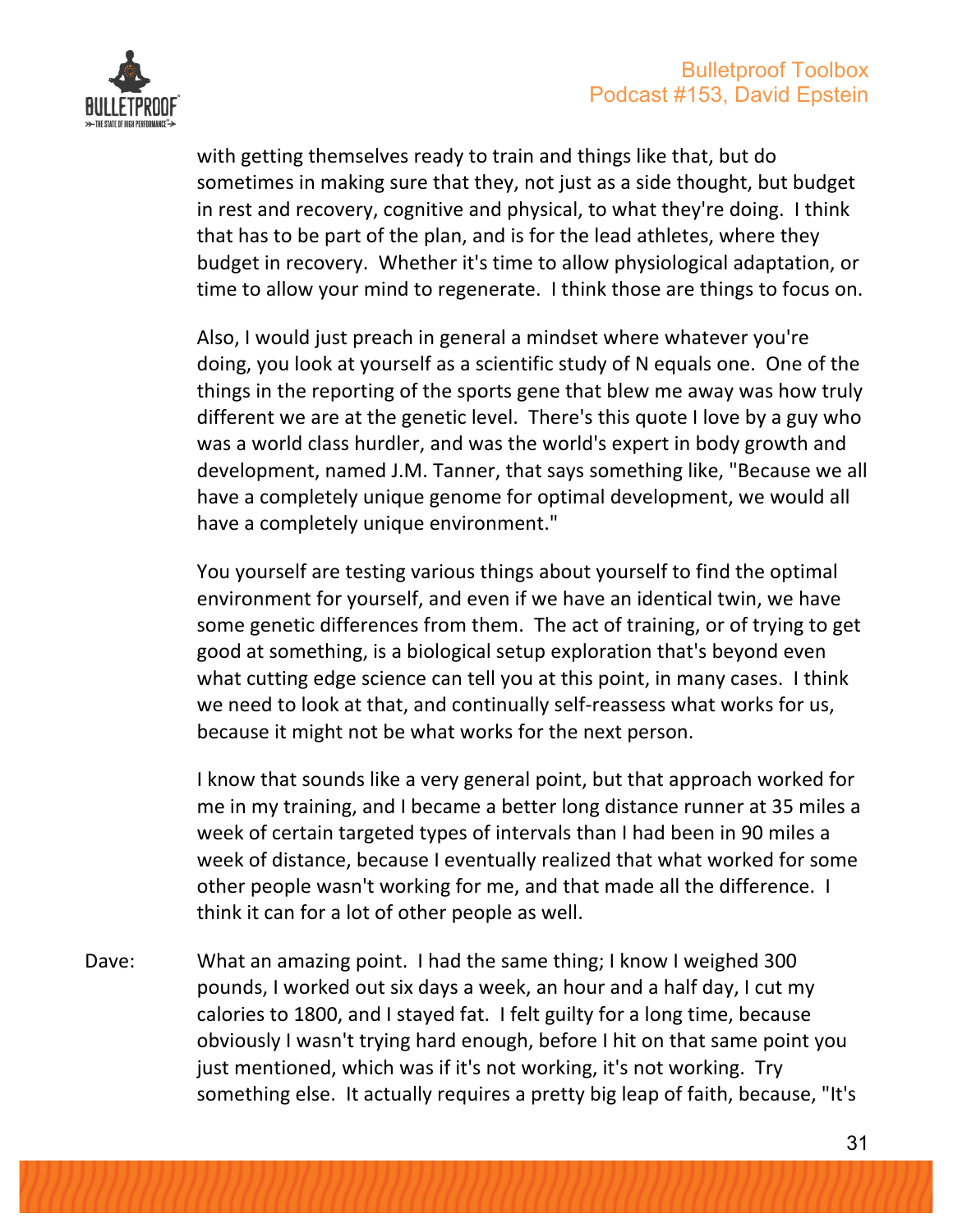

with getting themselves ready to train and things like that, but do sometimes in making sure that they, not just as a side thought, but budget in rest and recovery, cognitive and physical, to what they're doing. I think that has to be part of the plan, and is for the lead athletes, where they budget in recovery. Whether it's time to allow physiological adaptation, or time to allow your mind to regenerate. I think those are things to focus on.

Also, I would just preach in general a mindset where whatever you're doing, you look at yourself as a scientific study of N equals one. One of the things in the reporting of the sports gene that blew me away was how truly different we are at the genetic level. There's this quote I love by a guy who was a world class hurdler, and was the world's expert in body growth and development, named J.M. Tanner, that says something like, "Because we all have a completely unique genome for optimal development, we would all have a completely unique environment."

You yourself are testing various things about yourself to find the optimal environment for yourself, and even if we have an identical twin, we have some genetic differences from them. The act of training, or of trying to get good at something, is a biological setup exploration that's beyond even what cutting edge science can tell you at this point, in many cases. I think we need to look at that, and continually self-reassess what works for us, because it might not be what works for the next person.

I know that sounds like a very general point, but that approach worked for me in my training, and I became a better long distance runner at 35 miles a week of certain targeted types of intervals than I had been in 90 miles a week of distance, because I eventually realized that what worked for some other people wasn't working for me, and that made all the difference. I think it can for a lot of other people as well.

Dave: What an amazing point. I had the same thing; I know I weighed 300 pounds, I worked out six days a week, an hour and a half day, I cut my calories to 1800, and I stayed fat. I felt guilty for a long time, because obviously I wasn't trying hard enough, before I hit on that same point you just mentioned, which was if it's not working, it's not working. Try something else. It actually requires a pretty big leap of faith, because, "It's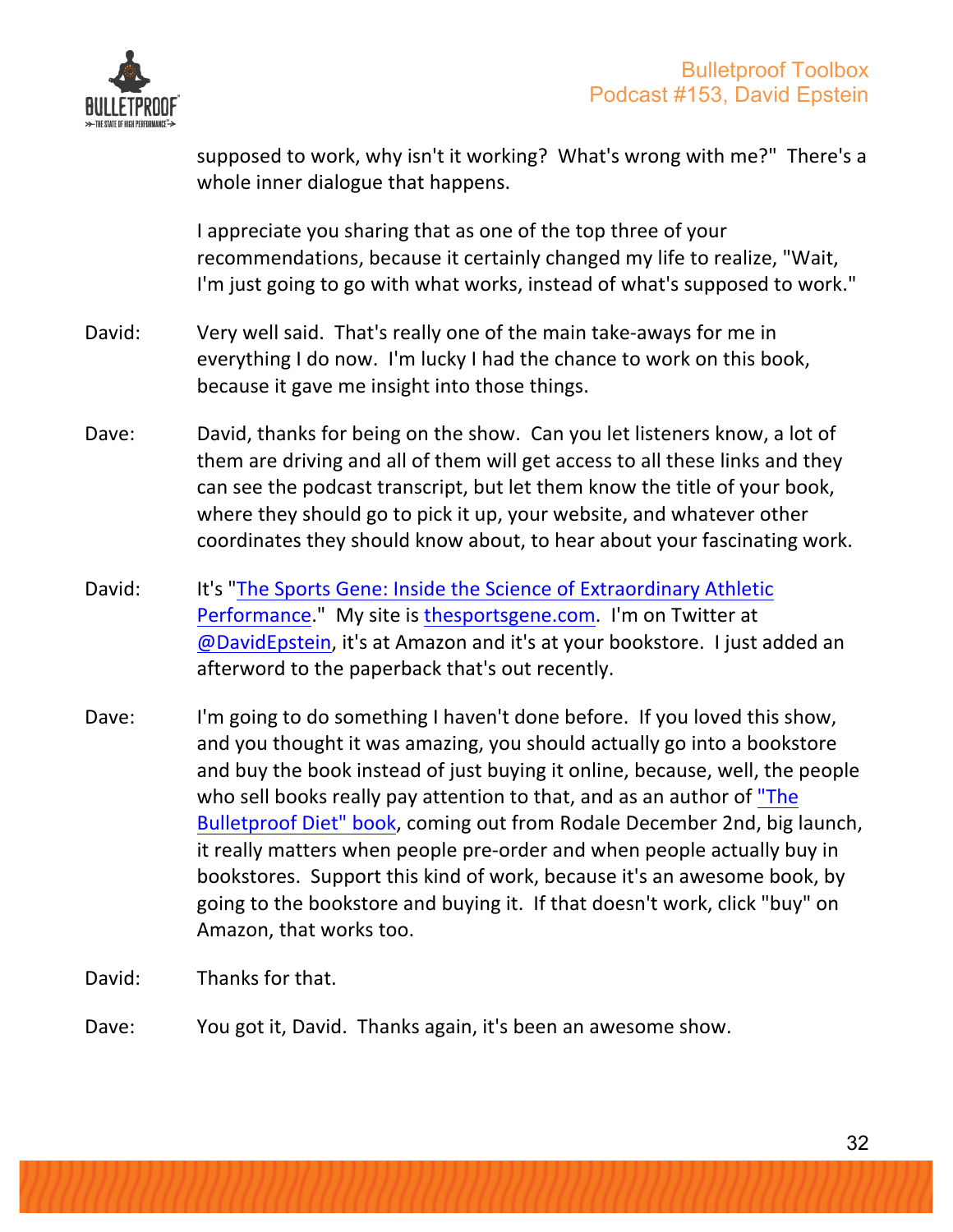

supposed to work, why isn't it working? What's wrong with me?" There's a whole inner dialogue that happens.

I appreciate you sharing that as one of the top three of your recommendations, because it certainly changed my life to realize, "Wait, I'm just going to go with what works, instead of what's supposed to work."

- David: Very well said. That's really one of the main take-aways for me in everything I do now. I'm lucky I had the chance to work on this book, because it gave me insight into those things.
- Dave: David, thanks for being on the show. Can you let listeners know, a lot of them are driving and all of them will get access to all these links and they can see the podcast transcript, but let them know the title of your book, where they should go to pick it up, your website, and whatever other coordinates they should know about, to hear about your fascinating work.
- David: It's "The Sports Gene: Inside the Science of Extraordinary Athletic Performance." My site is thesportsgene.com. I'm on Twitter at @DavidEpstein, it's at Amazon and it's at your bookstore. I just added an afterword to the paperback that's out recently.
- Dave: I'm going to do something I haven't done before. If you loved this show, and you thought it was amazing, you should actually go into a bookstore and buy the book instead of just buying it online, because, well, the people who sell books really pay attention to that, and as an author of "The Bulletproof Diet" book, coming out from Rodale December 2nd, big launch, it really matters when people pre-order and when people actually buy in bookstores. Support this kind of work, because it's an awesome book, by going to the bookstore and buying it. If that doesn't work, click "buy" on Amazon, that works too.
- David: Thanks for that.
- Dave: You got it, David. Thanks again, it's been an awesome show.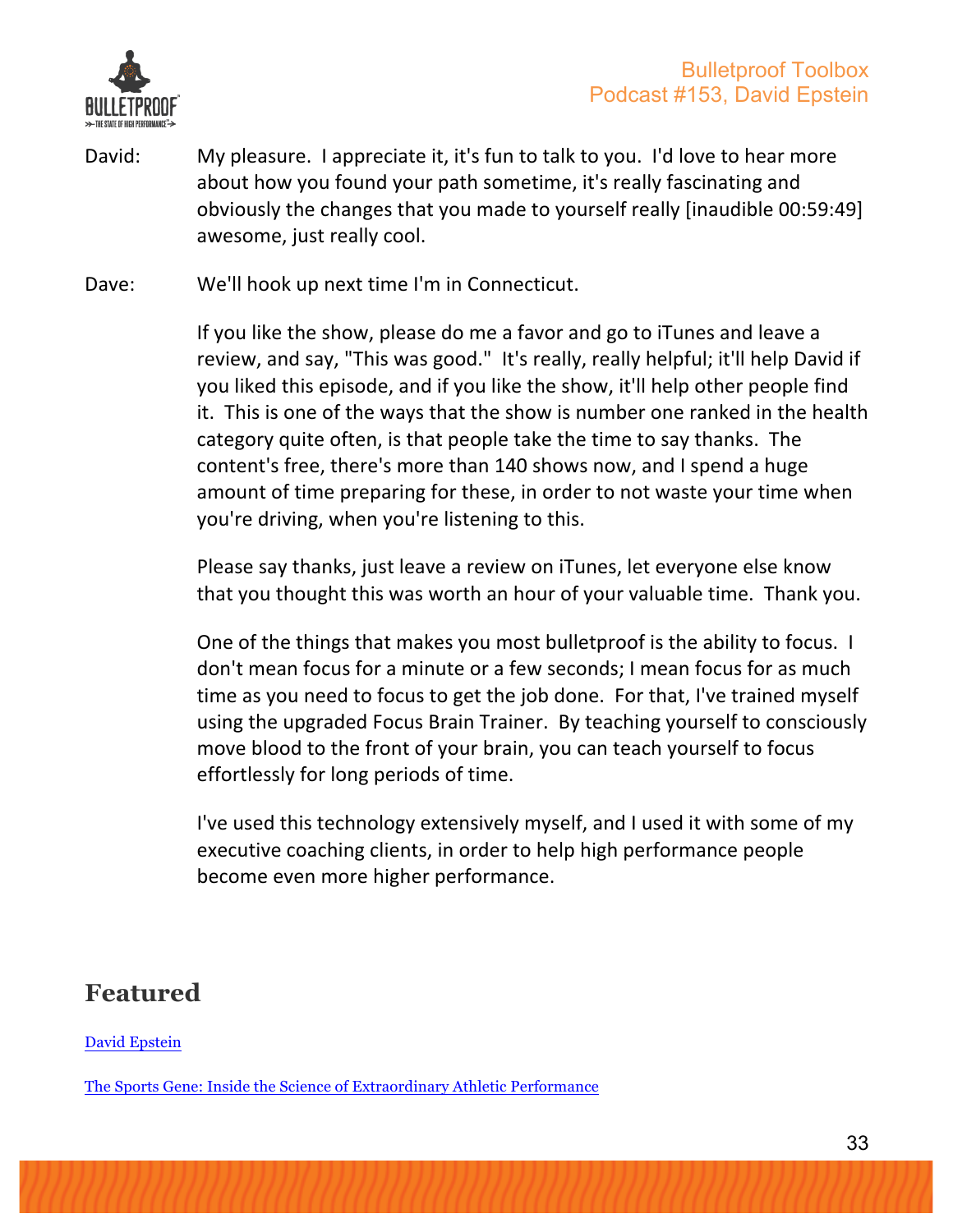

- David: My pleasure. I appreciate it, it's fun to talk to you. I'd love to hear more about how you found your path sometime, it's really fascinating and obviously the changes that you made to yourself really [inaudible 00:59:49] awesome, just really cool.
- Dave: We'll hook up next time I'm in Connecticut.

If you like the show, please do me a favor and go to iTunes and leave a review, and say, "This was good." It's really, really helpful; it'll help David if you liked this episode, and if you like the show, it'll help other people find it. This is one of the ways that the show is number one ranked in the health category quite often, is that people take the time to say thanks. The content's free, there's more than 140 shows now, and I spend a huge amount of time preparing for these, in order to not waste your time when you're driving, when you're listening to this.

Please say thanks, just leave a review on iTunes, let everyone else know that you thought this was worth an hour of your valuable time. Thank you.

One of the things that makes you most bulletproof is the ability to focus. I don't mean focus for a minute or a few seconds; I mean focus for as much time as you need to focus to get the job done. For that, I've trained myself using the upgraded Focus Brain Trainer. By teaching yourself to consciously move blood to the front of your brain, you can teach yourself to focus effortlessly for long periods of time.

I've used this technology extensively myself, and I used it with some of my executive coaching clients, in order to help high performance people become even more higher performance.

### **Featured**

David Epstein

The Sports Gene: Inside the Science of Extraordinary Athletic Performance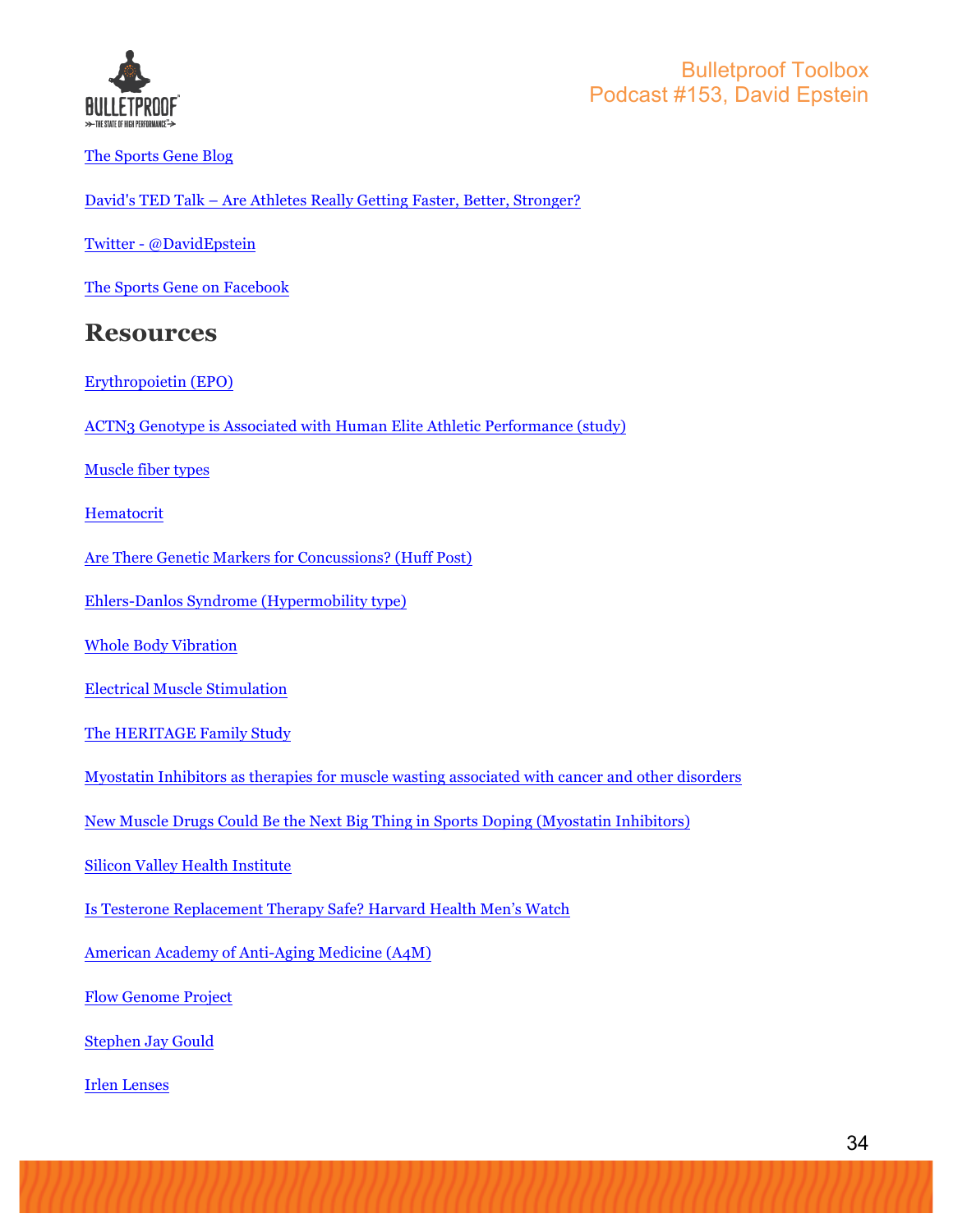

The Sports Gene Blog

David's TED Talk – Are Athletes Really Getting Faster, Better, Stronger?

Twitter - @DavidEpstein

The Sports Gene on Facebook

#### **Resources**

- Erythropoietin (EPO)
- ACTN3 Genotype is Associated with Human Elite Athletic Performance (study)

Muscle fiber types

**Hematocrit** 

Are There Genetic Markers for Concussions? (Huff Post)

Ehlers-Danlos Syndrome (Hypermobility type)

Whole Body Vibration

Electrical Muscle Stimulation

The HERITAGE Family Study

Myostatin Inhibitors as therapies for muscle wasting associated with cancer and other disorders

New Muscle Drugs Could Be the Next Big Thing in Sports Doping (Myostatin Inhibitors)

Silicon Valley Health Institute

Is Testerone Replacement Therapy Safe? Harvard Health Men's Watch

American Academy of Anti-Aging Medicine (A4M)

Flow Genome Project

Stephen Jay Gould

Irlen Lenses